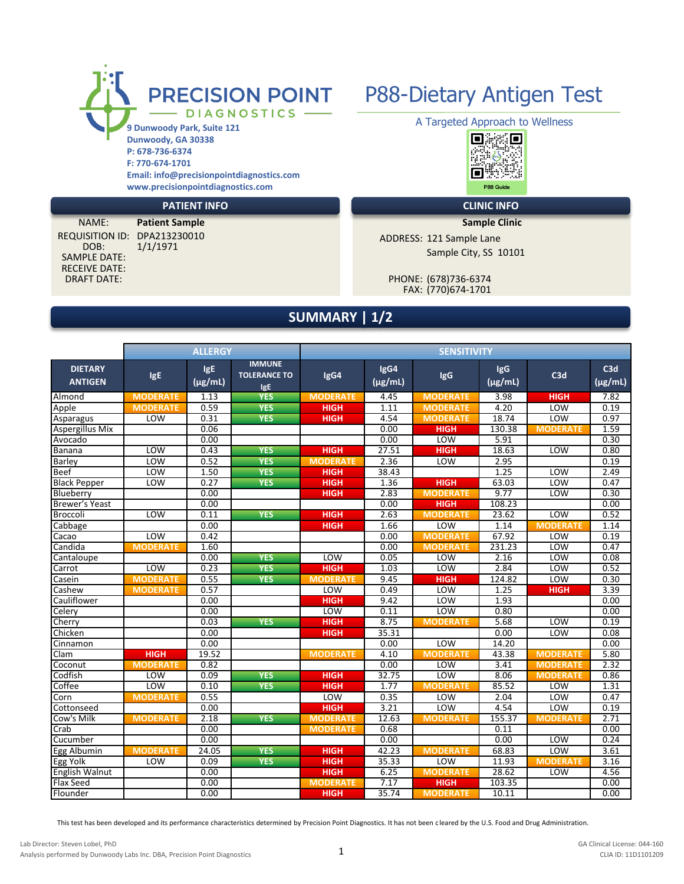

**P: 678-736-6374 F: 770-674-1701 Email: info@precisionpointdiagnostics.com www.precisionpointdiagnostics.com**

SAMPLE DATE: RECEIVE DATE:

DOB: 1/1/1971 NAME: **Patient Sample** 



### **PATIENT INFO CLINIC INFO**

**Sample Clinic**

REQUISITION ID: DPA213230010 ADDRESS: 121 Sample Lane Sample City, SS 10101

FAX: (770)674-1701 DRAFT DATE: PHONE: (678)736-6374

## **SUMMARY | 1/2**

|                                  |                 | <b>ALLERGY</b>             |                                             | <b>SENSITIVITY</b> |                      |                 |                            |                 |                     |  |
|----------------------------------|-----------------|----------------------------|---------------------------------------------|--------------------|----------------------|-----------------|----------------------------|-----------------|---------------------|--|
| <b>DIETARY</b><br><b>ANTIGEN</b> | <b>IgE</b>      | <b>IgE</b><br>$(\mu$ g/mL) | <b>IMMUNE</b><br><b>TOLERANCE TO</b><br>IgE | IgG4               | IgG4<br>$(\mu g/mL)$ | <b>IgG</b>      | <b>IgG</b><br>$(\mu g/mL)$ | C3d             | C3d<br>$(\mu$ g/mL) |  |
| Almond                           | <b>MODERATE</b> | 1.13                       | <b>YES</b>                                  | <b>MODERATE</b>    | 4.45                 | <b>MODERATE</b> | 3.98                       | <b>HIGH</b>     | 7.82                |  |
| Apple                            | <b>MODERATE</b> | 0.59                       | <b>YES</b>                                  | <b>HIGH</b>        | 1.11                 | <b>MODERATE</b> | 4.20                       | <b>LOW</b>      | 0.19                |  |
| Asparagus                        | LOW             | 0.31                       | <b>YES</b>                                  | <b>HIGH</b>        | 4.54                 | <b>MODERATE</b> | 18.74                      | LOW             | 0.97                |  |
| Aspergillus Mix                  |                 | 0.06                       |                                             |                    | 0.00                 | <b>HIGH</b>     | 130.38                     | <b>MODERATE</b> | 1.59                |  |
| Avocado                          |                 | 0.00                       |                                             |                    | 0.00                 | LOW             | 5.91                       |                 | 0.30                |  |
| Banana                           | LOW             | 0.43                       | <b>YES</b>                                  | <b>HIGH</b>        | 27.51                | <b>HIGH</b>     | 18.63                      | LOW             | 0.80                |  |
| <b>Barley</b>                    | LOW             | 0.52                       | <b>YES</b>                                  | <b>MODERATE</b>    | 2.36                 | LOW             | 2.95                       |                 | 0.19                |  |
| <b>Beef</b>                      | LOW             | 1.50                       | <b>YES</b>                                  | <b>HIGH</b>        | 38.43                |                 | 1.25                       | LOW             | 2.49                |  |
| <b>Black Pepper</b>              | LOW             | 0.27                       | <b>YES</b>                                  | <b>HIGH</b>        | 1.36                 | <b>HIGH</b>     | 63.03                      | LOW             | 0.47                |  |
| Blueberry                        |                 | 0.00                       |                                             | <b>HIGH</b>        | 2.83                 | <b>MODERATE</b> | 9.77                       | LOW             | 0.30                |  |
| Brewer's Yeast                   |                 | 0.00                       |                                             |                    | 0.00                 | <b>HIGH</b>     | 108.23                     |                 | 0.00                |  |
| <b>Broccoli</b>                  | LOW             | 0.11                       | <b>YES</b>                                  | <b>HIGH</b>        | 2.63                 | <b>MODERATE</b> | 23.62                      | LOW             | 0.52                |  |
| Cabbage                          |                 | 0.00                       |                                             | <b>HIGH</b>        | 1.66                 | LOW             | 1.14                       | <b>MODERATE</b> | 1.14                |  |
| Cacao                            | LOW             | 0.42                       |                                             |                    | 0.00                 | <b>MODERATE</b> | 67.92                      | LOW             | 0.19                |  |
| Candida                          | <b>MODERATE</b> | 1.60                       |                                             |                    | 0.00                 | <b>MODERATE</b> | 231.23                     | LOW             | 0.47                |  |
| Cantaloupe                       |                 | 0.00                       | <b>YES</b>                                  | LOW                | 0.05                 | LOW             | 2.16                       | LOW             | 0.08                |  |
| Carrot                           | LOW             | 0.23                       | <b>YES</b>                                  | <b>HIGH</b>        | 1.03                 | LOW             | 2.84                       | <b>LOW</b>      | 0.52                |  |
| Casein                           | <b>MODERATE</b> | 0.55                       | <b>YES</b>                                  | <b>MODERATE</b>    | 9.45                 | <b>HIGH</b>     | 124.82                     | <b>LOW</b>      | 0.30                |  |
| Cashew                           | <b>MODERATE</b> | 0.57                       |                                             | LOW                | 0.49                 | LOW             | 1.25                       | <b>HIGH</b>     | 3.39                |  |
| Cauliflower                      |                 | 0.00                       |                                             | <b>HIGH</b>        | 9.42                 | LOW             | 1.93                       |                 | 0.00                |  |
| Celery                           |                 | 0.00                       |                                             | LOW                | 0.11                 | LOW             | 0.80                       |                 | 0.00                |  |
| Cherry                           |                 | 0.03                       | <b>YES</b>                                  | <b>HIGH</b>        | 8.75                 | <b>MODERATE</b> | 5.68                       | LOW             | 0.19                |  |
| Chicken                          |                 | 0.00                       |                                             | <b>HIGH</b>        | 35.31                |                 | 0.00                       | LOW             | 0.08                |  |
| Cinnamon                         |                 | 0.00                       |                                             |                    | 0.00                 | LOW             | 14.20                      |                 | 0.00                |  |
| Clam                             | <b>HIGH</b>     | 19.52                      |                                             | <b>MODERATE</b>    | 4.10                 | <b>MODERATE</b> | 43.38                      | <b>MODERATE</b> | 5.80                |  |
| Coconut                          | <b>MODERATE</b> | 0.82                       |                                             |                    | 0.00                 | LOW             | 3.41                       | <b>MODERATE</b> | 2.32                |  |
| Codfish                          | LOW             | 0.09                       | <b>YES</b>                                  | <b>HIGH</b>        | 32.75                | LOW             | 8.06                       | <b>MODERATE</b> | 0.86                |  |
| Coffee                           | LOW             | 0.10                       | <b>YES</b>                                  | <b>HIGH</b>        | 1.77                 | <b>MODERATE</b> | 85.52                      | LOW             | 1.31                |  |
| Corn                             | <b>MODERATE</b> | 0.55                       |                                             | <b>LOW</b>         | 0.35                 | LOW             | 2.04                       | LOW             | 0.47                |  |
| Cottonseed                       |                 | 0.00                       |                                             | <b>HIGH</b>        | 3.21                 | LOW             | 4.54                       | LOW             | 0.19                |  |
| Cow's Milk                       | <b>MODERATE</b> | 2.18                       | <b>YES</b>                                  | <b>MODERATE</b>    | 12.63                | <b>MODERATE</b> | 155.37                     | <b>MODERATE</b> | 2.71                |  |
| Crab                             |                 | 0.00                       |                                             | <b>MODERATE</b>    | 0.68                 |                 | 0.11                       |                 | 0.00                |  |
| Cucumber                         |                 | 0.00                       |                                             |                    | 0.00                 |                 | 0.00                       | LOW             | 0.24                |  |
| Egg Albumin                      | <b>MODERATE</b> | 24.05                      | <b>YES</b>                                  | <b>HIGH</b>        | 42.23                | <b>MODERATE</b> | 68.83                      | LOW             | 3.61                |  |
| Egg Yolk                         | LOW             | 0.09                       | <b>YES</b>                                  | <b>HIGH</b>        | 35.33                | LOW             | 11.93                      | <b>MODERATE</b> | 3.16                |  |
| English Walnut                   |                 | 0.00                       |                                             | <b>HIGH</b>        | 6.25                 | <b>MODERATE</b> | 28.62                      | LOW             | 4.56                |  |
| <b>Flax Seed</b>                 |                 | 0.00                       |                                             | <b>MODERATE</b>    | 7.17                 | <b>HIGH</b>     | 103.35                     |                 | 0.00                |  |
| Flounder                         |                 | 0.00                       |                                             | <b>HIGH</b>        | 35.74                | <b>MODERATE</b> | 10.11                      |                 | 0.00                |  |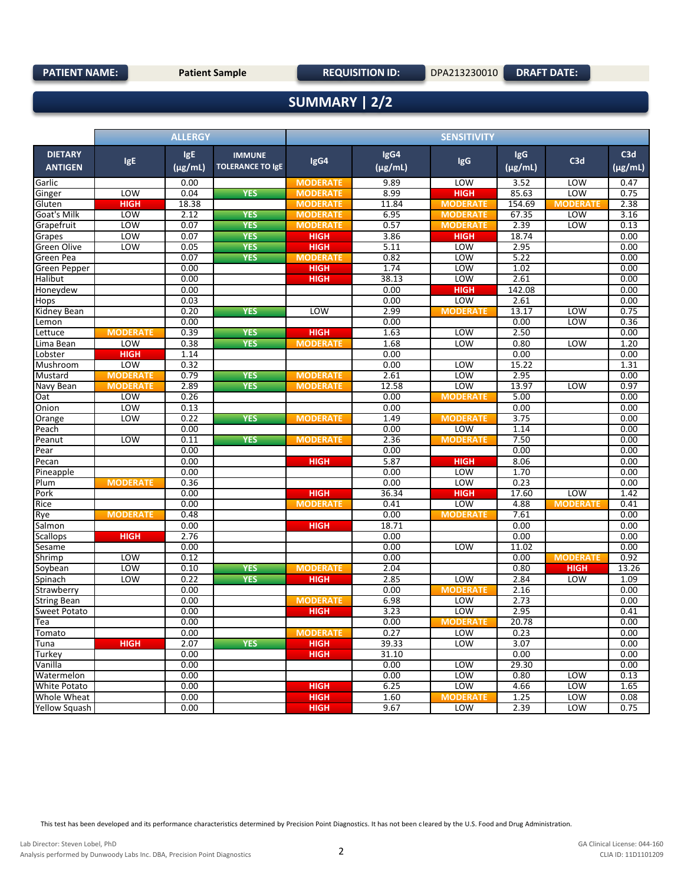## **SUMMARY | 2/2**

|                                  |                 | <b>ALLERGY</b>             |                                          | <b>SENSITIVITY</b> |                      |                 |                     |                 |                     |  |
|----------------------------------|-----------------|----------------------------|------------------------------------------|--------------------|----------------------|-----------------|---------------------|-----------------|---------------------|--|
| <b>DIETARY</b><br><b>ANTIGEN</b> | <b>IgE</b>      | <b>IgE</b><br>$(\mu$ g/mL) | <b>IMMUNE</b><br><b>TOLERANCE TO IgE</b> | IgG4               | IgG4<br>$(\mu g/mL)$ | <b>IgG</b>      | IgG<br>$(\mu g/mL)$ | C3d             | C3d<br>$(\mu g/mL)$ |  |
| Garlic                           |                 | 0.00                       |                                          | <b>MODERATE</b>    | 9.89                 | LOW             | 3.52                | LOW             | 0.47                |  |
| Ginger                           | LOW             | 0.04                       | <b>YES</b>                               | <b>MODERATE</b>    | 8.99                 | <b>HIGH</b>     | 85.63               | LOW             | 0.75                |  |
| Gluten                           | <b>HIGH</b>     | 18.38                      |                                          | <b>MODERATE</b>    | 11.84                | <b>MODERATE</b> | 154.69              | <b>MODERATE</b> | 2.38                |  |
| Goat's Milk                      | LOW             | 2.12                       | <b>YES</b>                               | <b>MODERATE</b>    | 6.95                 | <b>MODERATE</b> | 67.35               | LOW             | 3.16                |  |
| Grapefruit                       | LOW             | 0.07                       | <b>YES</b>                               | <b>MODERATE</b>    | 0.57                 | <b>MODERATE</b> | 2.39                | LOW             | 0.13                |  |
| Grapes                           | LOW             | 0.07                       | <b>YES</b>                               | <b>HIGH</b>        | 3.86                 | <b>HIGH</b>     | 18.74               |                 | 0.00                |  |
| Green Olive                      | LOW             | 0.05                       | <b>YES</b>                               | <b>HIGH</b>        | 5.11                 | LOW             | 2.95                |                 | 0.00                |  |
| Green Pea                        |                 | 0.07                       | <b>YES</b>                               | <b>MODERATE</b>    | 0.82                 | LOW             | 5.22                |                 | 0.00                |  |
| Green Pepper                     |                 | 0.00                       |                                          | <b>HIGH</b>        | 1.74                 | LOW             | 1.02                |                 | 0.00                |  |
| Halibut                          |                 | 0.00                       |                                          | <b>HIGH</b>        | 38.13                | LOW             | 2.61                |                 | 0.00                |  |
| Honeydew                         |                 | 0.00                       |                                          |                    | 0.00                 | <b>HIGH</b>     | 142.08              |                 | 0.00                |  |
| Hops                             |                 | 0.03                       |                                          |                    | 0.00                 | LOW             | 2.61                |                 | 0.00                |  |
| Kidney Bean                      |                 | 0.20                       | <b>YES</b>                               | LOW                | 2.99                 | <b>MODERATE</b> | 13.17               | LOW             | 0.75                |  |
| Lemon                            |                 | 0.00                       |                                          |                    | 0.00                 |                 | 0.00                | LOW             | 0.36                |  |
| Lettuce                          | <b>MODERATE</b> | 0.39                       | <b>YES</b>                               | <b>HIGH</b>        | 1.63                 | LOW             | 2.50                |                 | 0.00                |  |
| Lima Bean                        | LOW             | 0.38                       | <b>YES</b>                               | <b>MODERATE</b>    | 1.68                 | <b>LOW</b>      | 0.80                | LOW             | 1.20                |  |
| Lobster                          | <b>HIGH</b>     | 1.14                       |                                          |                    | 0.00                 |                 | 0.00                |                 | 0.00                |  |
| Mushroom                         | LOW             | 0.32                       |                                          |                    | 0.00                 | LOW             | 15.22               |                 | 1.31                |  |
| Mustard                          | <b>MODERATE</b> | 0.79                       | <b>YES</b>                               | <b>MODERATE</b>    | 2.61                 | LOW             | 2.95                |                 | 0.00                |  |
| Navy Bean                        | <b>MODERATE</b> | 2.89                       | <b>YES</b>                               | <b>MODERATE</b>    | 12.58                | LOW             | 13.97               | LOW             | 0.97                |  |
| Oat                              | LOW             | 0.26                       |                                          |                    | 0.00                 | <b>MODERATE</b> | 5.00                |                 | 0.00                |  |
| Onion                            | LOW             | 0.13                       |                                          |                    | 0.00                 |                 | 0.00                |                 | 0.00                |  |
| Orange                           | LOW             | 0.22                       | <b>YES</b>                               | <b>MODERATE</b>    | 1.49                 | <b>MODERATE</b> | 3.75                |                 | 0.00                |  |
| Peach                            |                 | 0.00                       |                                          |                    | 0.00                 | LOW             | 1.14                |                 | 0.00                |  |
| Peanut                           | LOW             | 0.11                       | <b>YES</b>                               | <b>MODERATE</b>    | 2.36                 | <b>MODERATE</b> | 7.50                |                 | 0.00                |  |
| Pear                             |                 | 0.00                       |                                          |                    | 0.00                 |                 | 0.00                |                 | 0.00                |  |
| Pecan                            |                 | 0.00                       |                                          | HIGH               | 5.87                 | <b>HIGH</b>     | 8.06                |                 | 0.00                |  |
| Pineapple                        |                 | 0.00                       |                                          |                    | 0.00                 | LOW             | 1.70                |                 | 0.00                |  |
| Plum                             | <b>MODERATE</b> | 0.36                       |                                          |                    | 0.00                 | LOW             | 0.23                |                 | 0.00                |  |
| Pork                             |                 | 0.00                       |                                          | <b>HIGH</b>        | 36.34                | <b>HIGH</b>     | 17.60               | LOW             | 1.42                |  |
| Rice                             |                 | 0.00                       |                                          | <b>MODERATE</b>    | 0.41                 | LOW             | 4.88                | <b>MODERATE</b> | 0.41                |  |
| Rye                              | <b>MODERATE</b> | 0.48                       |                                          |                    | 0.00                 | <b>MODERATE</b> | 7.61                |                 | 0.00                |  |
| Salmon                           |                 | 0.00                       |                                          | <b>HIGH</b>        | 18.71                |                 | 0.00                |                 | 0.00                |  |
| Scallops                         | HIGH            | 2.76                       |                                          |                    | 0.00                 |                 | 0.00                |                 | 0.00                |  |
| Sesame                           |                 | 0.00                       |                                          |                    | 0.00                 | LOW             | 11.02               |                 | 0.00                |  |
| Shrimp                           | <b>LOW</b>      | 0.12                       |                                          |                    | 0.00                 |                 | 0.00                | <b>MODERATE</b> | 0.92                |  |
| Soybean                          | LOW             | 0.10                       | <b>YES</b>                               | <b>MODERATE</b>    | 2.04                 |                 | 0.80                | <b>HIGH</b>     | 13.26               |  |
| Spinach                          | LOW             | 0.22                       | <b>YES</b>                               | <b>HIGH</b>        | 2.85                 | LOW             | 2.84                | LOW             | 1.09                |  |
| Strawberry                       |                 | 0.00                       |                                          |                    | 0.00                 | <b>MODERATE</b> | 2.16                |                 | 0.00                |  |
| <b>String Bean</b>               |                 | 0.00                       |                                          | <b>MODERATE</b>    | 6.98                 | LOW             | 2.73                |                 | 0.00                |  |
| Sweet Potato                     |                 | 0.00                       |                                          | <b>HIGH</b>        | 3.23                 | LOW             | 2.95                |                 | 0.41                |  |
| Tea                              |                 | 0.00                       |                                          |                    | 0.00                 | <b>MODERATE</b> | 20.78               |                 | 0.00                |  |
| Tomato                           |                 | 0.00                       |                                          | <b>MODERATE</b>    | 0.27                 | LOW             | 0.23                |                 | 0.00                |  |
| Tuna                             | <b>HIGH</b>     | 2.07                       | <b>YES</b>                               | <b>HIGH</b>        | 39.33                | LOW             | 3.07                |                 | 0.00                |  |
| Turkey                           |                 | 0.00                       |                                          | <b>HIGH</b>        | 31.10                |                 | 0.00                |                 | 0.00                |  |
| Vanilla                          |                 | 0.00                       |                                          |                    | 0.00                 | <b>LOW</b>      | 29.30               |                 | 0.00                |  |
| Watermelon                       |                 | 0.00                       |                                          |                    | 0.00                 | <b>LOW</b>      | 0.80                | LOW             | 0.13                |  |
| White Potato                     |                 | 0.00                       |                                          | <b>HIGH</b>        | 6.25                 | LOW             | 4.66                | LOW             | 1.65                |  |
| Whole Wheat                      |                 | 0.00                       |                                          | <b>HIGH</b>        | 1.60                 | <b>MODERATE</b> | 1.25                | LOW             | 0.08                |  |
| Yellow Squash                    |                 | 0.00                       |                                          | <b>HIGH</b>        | 9.67                 | LOW             | 2.39                | LOW             | 0.75                |  |
|                                  |                 |                            |                                          |                    |                      |                 |                     |                 |                     |  |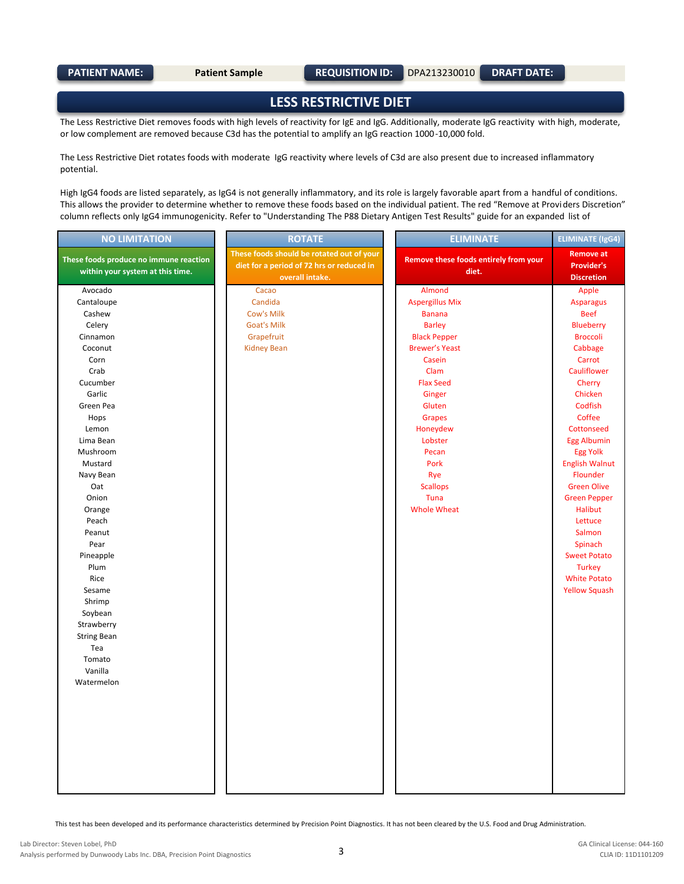**LESS RESTRICTIVE DIET**

The Less Restrictive Diet removes foods with high levels of reactivity for IgE and IgG. Additionally, moderate IgG reactivity with high, moderate, or low complement are removed because C3d has the potential to amplify an IgG reaction 1000-10,000 fold.

The Less Restrictive Diet rotates foods with moderate IgG reactivity where levels of C3d are also present due to increased inflammatory potential.

High IgG4 foods are listed separately, as IgG4 is not generally inflammatory, and its role is largely favorable apart from a handful of conditions. This allows the provider to determine whether to remove these foods based on the individual patient. The red "Remove at Providers Discretion" column reflects only IgG4 immunogenicity. Refer to "Understanding The P88 Dietary Antigen Test Results" guide for an expanded list of

| <b>NO LIMITATION</b>                                                       | <b>ROTATE</b>                                                                                             | <b>ELIMINATE</b>                               | <b>ELIMINATE (IgG4)</b>                                    |
|----------------------------------------------------------------------------|-----------------------------------------------------------------------------------------------------------|------------------------------------------------|------------------------------------------------------------|
| These foods produce no immune reaction<br>within your system at this time. | These foods should be rotated out of your<br>diet for a period of 72 hrs or reduced in<br>overall intake. | Remove these foods entirely from your<br>diet. | <b>Remove at</b><br><b>Provider's</b><br><b>Discretion</b> |
| Avocado                                                                    | Cacao                                                                                                     | Almond                                         | Apple                                                      |
| Cantaloupe                                                                 | Candida                                                                                                   | <b>Aspergillus Mix</b>                         | <b>Asparagus</b>                                           |
| Cashew                                                                     | Cow's Milk                                                                                                | <b>Banana</b>                                  | <b>Beef</b>                                                |
| Celery                                                                     | <b>Goat's Milk</b>                                                                                        | <b>Barley</b>                                  | Blueberry                                                  |
| Cinnamon                                                                   | Grapefruit                                                                                                | <b>Black Pepper</b>                            | <b>Broccoli</b>                                            |
| Coconut                                                                    | <b>Kidney Bean</b>                                                                                        | <b>Brewer's Yeast</b>                          | Cabbage                                                    |
| Corn                                                                       |                                                                                                           | Casein                                         | Carrot                                                     |
| Crab                                                                       |                                                                                                           | Clam                                           | Cauliflower                                                |
| Cucumber                                                                   |                                                                                                           | <b>Flax Seed</b>                               | Cherry                                                     |
| Garlic                                                                     |                                                                                                           | Ginger                                         | Chicken                                                    |
| Green Pea                                                                  |                                                                                                           | Gluten                                         | Codfish                                                    |
| Hops                                                                       |                                                                                                           | <b>Grapes</b>                                  | Coffee                                                     |
| Lemon                                                                      |                                                                                                           | Honeydew                                       | Cottonseed                                                 |
| Lima Bean                                                                  |                                                                                                           | Lobster                                        | <b>Egg Albumin</b>                                         |
| Mushroom                                                                   |                                                                                                           | Pecan                                          | <b>Egg Yolk</b>                                            |
| Mustard                                                                    |                                                                                                           | Pork                                           | <b>English Walnut</b>                                      |
| Navy Bean                                                                  |                                                                                                           | Rye                                            | Flounder                                                   |
| Oat                                                                        |                                                                                                           | <b>Scallops</b>                                | <b>Green Olive</b>                                         |
| Onion                                                                      |                                                                                                           | Tuna                                           | <b>Green Pepper</b>                                        |
| Orange                                                                     |                                                                                                           | <b>Whole Wheat</b>                             | <b>Halibut</b>                                             |
| Peach                                                                      |                                                                                                           |                                                | Lettuce                                                    |
| Peanut                                                                     |                                                                                                           |                                                | Salmon                                                     |
| Pear                                                                       |                                                                                                           |                                                | Spinach                                                    |
| Pineapple                                                                  |                                                                                                           |                                                | <b>Sweet Potato</b>                                        |
| Plum                                                                       |                                                                                                           |                                                | <b>Turkey</b>                                              |
| Rice                                                                       |                                                                                                           |                                                | <b>White Potato</b>                                        |
| Sesame                                                                     |                                                                                                           |                                                | <b>Yellow Squash</b>                                       |
| Shrimp                                                                     |                                                                                                           |                                                |                                                            |
| Soybean                                                                    |                                                                                                           |                                                |                                                            |
| Strawberry                                                                 |                                                                                                           |                                                |                                                            |
| <b>String Bean</b>                                                         |                                                                                                           |                                                |                                                            |
| Tea                                                                        |                                                                                                           |                                                |                                                            |
| Tomato                                                                     |                                                                                                           |                                                |                                                            |
| Vanilla                                                                    |                                                                                                           |                                                |                                                            |
| Watermelon                                                                 |                                                                                                           |                                                |                                                            |
|                                                                            |                                                                                                           |                                                |                                                            |
|                                                                            |                                                                                                           |                                                |                                                            |
|                                                                            |                                                                                                           |                                                |                                                            |
|                                                                            |                                                                                                           |                                                |                                                            |
|                                                                            |                                                                                                           |                                                |                                                            |
|                                                                            |                                                                                                           |                                                |                                                            |
|                                                                            |                                                                                                           |                                                |                                                            |
|                                                                            |                                                                                                           |                                                |                                                            |
|                                                                            |                                                                                                           |                                                |                                                            |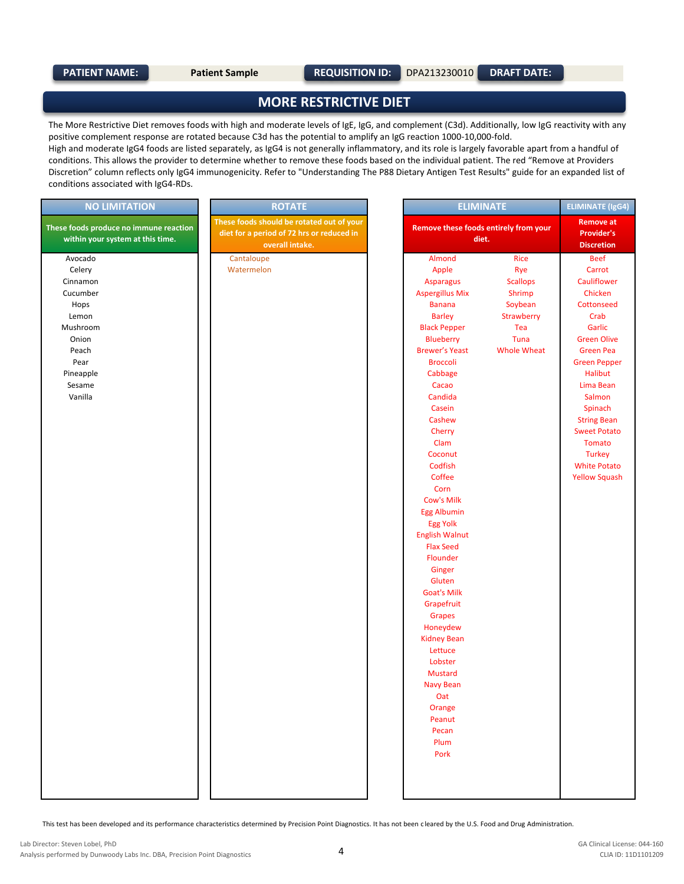### **MORE RESTRICTIVE DIET**

The More Restrictive Diet removes foods with high and moderate levels of IgE, IgG, and complement (C3d). Additionally, low IgG reactivity with any positive complement response are rotated because C3d has the potential to amplify an IgG reaction 1000-10,000-fold.

High and moderate IgG4 foods are listed separately, as IgG4 is not generally inflammatory, and its role is largely favorable apart from a handful of conditions. This allows the provider to determine whether to remove these foods based on the individual patient. The red "Remove at Providers Discretion" column reflects only IgG4 immunogenicity. Refer to "Understanding The P88 Dietary Antigen Test Results" guide for an expanded list of conditions associated with IgG4-RDs.

| <b>NO LIMITATION</b>                   | <b>ROTATE</b>                             | <b>ELIMINATE</b>                      | <b>ELIMINATE (IgG4)</b> |                      |
|----------------------------------------|-------------------------------------------|---------------------------------------|-------------------------|----------------------|
|                                        | These foods should be rotated out of your |                                       |                         | <b>Remove at</b>     |
| These foods produce no immune reaction | diet for a period of 72 hrs or reduced in | Remove these foods entirely from your |                         | <b>Provider's</b>    |
| within your system at this time.       | overall intake.                           | diet.                                 |                         | <b>Discretion</b>    |
| Avocado                                | Cantaloupe                                | Almond                                | Rice                    | <b>Beef</b>          |
| Celery                                 | Watermelon                                | Apple                                 | Rye                     | Carrot               |
| Cinnamon                               |                                           | <b>Asparagus</b>                      | <b>Scallops</b>         | Cauliflower          |
| Cucumber                               |                                           | <b>Aspergillus Mix</b>                | Shrimp                  | Chicken              |
| Hops                                   |                                           | <b>Banana</b>                         | Soybean                 | Cottonseed           |
| Lemon                                  |                                           | <b>Barley</b>                         | Strawberry              | Crab                 |
| Mushroom                               |                                           | <b>Black Pepper</b>                   | Tea                     | Garlic               |
| Onion                                  |                                           | <b>Blueberry</b>                      | Tuna                    | <b>Green Olive</b>   |
| Peach                                  |                                           | <b>Brewer's Yeast</b>                 | <b>Whole Wheat</b>      | <b>Green Pea</b>     |
| Pear                                   |                                           | <b>Broccoli</b>                       |                         | <b>Green Pepper</b>  |
| Pineapple                              |                                           | Cabbage                               |                         | <b>Halibut</b>       |
| Sesame                                 |                                           | Cacao                                 |                         | Lima Bean            |
| Vanilla                                |                                           | Candida                               |                         | Salmon               |
|                                        |                                           | Casein                                |                         | Spinach              |
|                                        |                                           | Cashew                                |                         | <b>String Bean</b>   |
|                                        |                                           | Cherry                                |                         | <b>Sweet Potato</b>  |
|                                        |                                           | Clam                                  |                         | Tomato               |
|                                        |                                           | Coconut                               |                         | <b>Turkey</b>        |
|                                        |                                           | Codfish                               |                         | <b>White Potato</b>  |
|                                        |                                           | Coffee                                |                         | <b>Yellow Squash</b> |
|                                        |                                           | Corn                                  |                         |                      |
|                                        |                                           | <b>Cow's Milk</b>                     |                         |                      |
|                                        |                                           | <b>Egg Albumin</b>                    |                         |                      |
|                                        |                                           | <b>Egg Yolk</b>                       |                         |                      |
|                                        |                                           | <b>English Walnut</b>                 |                         |                      |
|                                        |                                           | <b>Flax Seed</b>                      |                         |                      |
|                                        |                                           | Flounder                              |                         |                      |
|                                        |                                           | Ginger                                |                         |                      |
|                                        |                                           | Gluten                                |                         |                      |
|                                        |                                           | <b>Goat's Milk</b>                    |                         |                      |
|                                        |                                           | Grapefruit                            |                         |                      |
|                                        |                                           | Grapes<br>Honeydew                    |                         |                      |
|                                        |                                           | <b>Kidney Bean</b>                    |                         |                      |
|                                        |                                           | Lettuce                               |                         |                      |
|                                        |                                           | Lobster                               |                         |                      |
|                                        |                                           | <b>Mustard</b>                        |                         |                      |
|                                        |                                           | <b>Navy Bean</b>                      |                         |                      |
|                                        |                                           | Oat                                   |                         |                      |
|                                        |                                           | Orange                                |                         |                      |
|                                        |                                           | Peanut                                |                         |                      |
|                                        |                                           | Pecan                                 |                         |                      |
|                                        |                                           | Plum                                  |                         |                      |
|                                        |                                           | Pork                                  |                         |                      |
|                                        |                                           |                                       |                         |                      |
|                                        |                                           |                                       |                         |                      |
|                                        |                                           |                                       |                         |                      |
|                                        |                                           |                                       |                         |                      |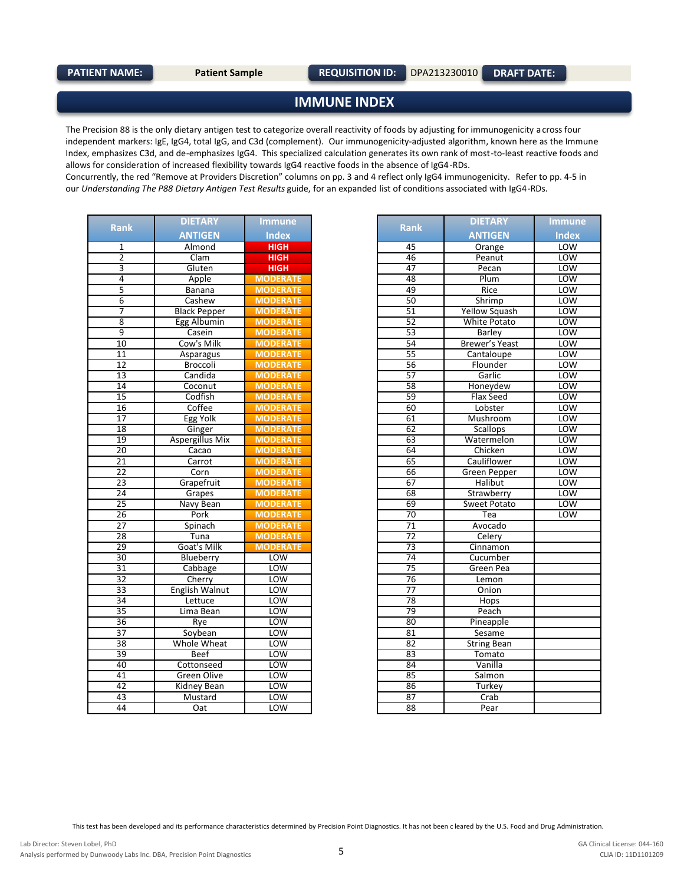### **IMMUNE INDEX**

The Precision 88 is the only dietary antigen test to categorize overall reactivity of foods by adjusting for immunogenicity a cross four independent markers: IgE, IgG4, total IgG, and C3d (complement). Our immunogenicity-adjusted algorithm, known here as the Immune Index, emphasizes C3d, and de-emphasizes IgG4. This specialized calculation generates its own rank of most-to-least reactive foods and allows for consideration of increased flexibility towards IgG4 reactive foods in the absence of IgG4-RDs.

Concurrently, the red "Remove at Providers Discretion" columns on pp. 3 and 4 reflect only IgG4 immunogenicity. Refer to pp. 4-5 in our *Understanding The P88 Dietary Antigen Test Results* guide, for an expanded list of conditions associated with IgG4-RDs.

|                         | <b>DIETARY</b>         | <b>Immune</b>   |                 | <b>DIETARY</b>     |
|-------------------------|------------------------|-----------------|-----------------|--------------------|
| <b>Rank</b>             | <b>ANTIGEN</b>         | <b>Index</b>    | <b>Rank</b>     | <b>ANTIGEN</b>     |
| 1                       | Almond                 | <b>HIGH</b>     | 45              | Orange             |
| $\overline{2}$          | Clam                   | <b>HIGH</b>     | 46              | Peanut             |
| $\overline{\mathbf{3}}$ | Gluten                 | <b>HIGH</b>     | 47              | Pecan              |
| $\overline{4}$          | Apple                  | <b>MODERATE</b> | 48              | Plum               |
| 5                       | Banana                 | <b>MODERATE</b> | 49              | Rice               |
| $\overline{6}$          | Cashew                 | <b>MODERATE</b> | $\overline{50}$ | Shrimp             |
| 7                       | <b>Black Pepper</b>    | <b>MODERATE</b> | 51              | Yellow Squas       |
| 8                       | Egg Albumin            | <b>MODERATE</b> | 52              | White Potat        |
| 9                       | Casein                 | <b>MODERATE</b> | 53              | Barley             |
| 10                      | Cow's Milk             | <b>MODERATE</b> | 54              | Brewer's Yea       |
| $\overline{11}$         | Asparagus              | <b>MODERATE</b> | $\overline{55}$ | Cantaloupe         |
| $\overline{12}$         | Broccoli               | <b>MODERATE</b> | 56              | Flounder           |
| $\overline{13}$         | Candida                | <b>MODERATE</b> | 57              | Garlic             |
| 14                      | Coconut                | <b>MODERATE</b> | 58              | Honeydew           |
| $\overline{15}$         | Codfish                | <b>MODERATE</b> | 59              | Flax Seed          |
| $\overline{16}$         | Coffee                 | <b>MODERATE</b> | 60              | Lobster            |
| $\overline{17}$         | Egg Yolk               | <b>MODERATE</b> | 61              | Mushroom           |
| 18                      | Ginger                 | <b>MODERATE</b> | 62              | Scallops           |
| 19                      | <b>Aspergillus Mix</b> | <b>MODERATE</b> | 63              | Watermelor         |
| $\overline{20}$         | Cacao                  | <b>MODERATE</b> | 64              | Chicken            |
| $\overline{21}$         | Carrot                 | <b>MODERATE</b> | 65              | Cauliflower        |
| $\overline{22}$         | Corn                   | <b>MODERATE</b> | 66              | Green Peppe        |
| 23                      | Grapefruit             | <b>MODERATE</b> | 67              | <b>Halibut</b>     |
| 24                      | Grapes                 | <b>MODERATE</b> | 68              | Strawberry         |
| 25                      | Navy Bean              | <b>MODERATE</b> | 69              | Sweet Potat        |
| $\overline{26}$         | Pork                   | <b>MODERATE</b> | 70              | Tea                |
| 27                      | Spinach                | <b>MODERATE</b> | $\overline{71}$ | Avocado            |
| 28                      | Tuna                   | <b>MODERATE</b> | $\overline{72}$ | Celery             |
| $\overline{29}$         | Goat's Milk            | <b>MODERATE</b> | 73              | Cinnamon           |
| 30                      | Blueberry              | <b>LOW</b>      | 74              | Cucumber           |
| $\overline{31}$         | Cabbage                | <b>LOW</b>      | $\overline{75}$ | Green Pea          |
| 32                      | Cherry                 | <b>LOW</b>      | 76              | Lemon              |
| 33                      | <b>English Walnut</b>  | <b>LOW</b>      | 77              | Onion              |
| 34                      | Lettuce                | <b>LOW</b>      | 78              | Hops               |
| $\overline{35}$         | Lima Bean              | <b>LOW</b>      | 79              | Peach              |
| $\overline{36}$         | Rye                    | <b>LOW</b>      | 80              | Pineapple          |
| $\overline{37}$         | Soybean                | <b>LOW</b>      | 81              | Sesame             |
| 38                      | Whole Wheat            | <b>LOW</b>      | 82              | <b>String Bean</b> |
| $\overline{39}$         | Beef                   | <b>LOW</b>      | 83              | <b>Tomato</b>      |
| 40                      | Cottonseed             | <b>LOW</b>      | 84              | Vanilla            |
| 41                      | Green Olive            | <b>LOW</b>      | 85              | Salmon             |
| 42                      | Kidney Bean            | <b>LOW</b>      | 86              | <b>Turkey</b>      |
| 43                      | Mustard                | <b>LOW</b>      | 87              | Crab               |
| 44                      | Oat                    | LOW             | 88              | Pear               |

| ank                     | <b>DIETARY</b><br><b>Immune</b> |                 | <b>Rank</b>     | <b>DIETARY</b>        | <b>Immune</b> |
|-------------------------|---------------------------------|-----------------|-----------------|-----------------------|---------------|
|                         | <b>ANTIGEN</b>                  | <b>Index</b>    |                 | <b>ANTIGEN</b>        | <b>Index</b>  |
| $\mathbf 1$             | Almond                          | <b>HIGH</b>     | 45              | Orange                | LOW           |
| $\overline{2}$          | Clam                            | <b>HIGH</b>     | 46              | Peanut                | LOW           |
| $\overline{3}$          | Gluten                          | <b>HIGH</b>     | 47              | Pecan                 | LOW           |
| $\overline{4}$          | Apple                           | <b>MODERATE</b> | 48              | Plum                  | LOW           |
| $\overline{\mathbf{5}}$ | Banana                          | <b>MODERATE</b> | 49              | Rice                  | <b>LOW</b>    |
| $\overline{6}$          | Cashew                          | <b>MODERATE</b> | 50              | Shrimp                | <b>LOW</b>    |
| $\overline{7}$          | <b>Black Pepper</b>             | <b>MODERATE</b> | 51              | <b>Yellow Squash</b>  | LOW           |
| $\overline{8}$          | Egg Albumin                     | <b>MODERATE</b> | 52              | <b>White Potato</b>   | LOW           |
| $\overline{9}$          | Casein                          | <b>MODERATE</b> | 53              | <b>Barley</b>         | <b>LOW</b>    |
| 10                      | Cow's Milk                      | <b>MODERATE</b> | 54              | <b>Brewer's Yeast</b> | LOW           |
| 11                      | Asparagus                       | <b>MODERATE</b> | 55              | Cantaloupe            | <b>LOW</b>    |
| 12                      | Broccoli                        | <b>MODERATE</b> | 56              | Flounder              | <b>LOW</b>    |
| $\overline{13}$         | Candida                         | <b>MODERATE</b> | 57              | Garlic                | LOW           |
| $\overline{14}$         | Coconut                         | <b>MODERATE</b> | 58              | Honeydew              | <b>LOW</b>    |
| $\overline{15}$         | Codfish                         | <b>MODERATE</b> | 59              | Flax Seed             | <b>LOW</b>    |
| 16                      | Coffee                          | <b>MODERATE</b> | 60              | Lobster               | LOW           |
| $\overline{17}$         | Egg Yolk                        | <b>MODERATE</b> | 61              | Mushroom              | <b>LOW</b>    |
| 18                      | Ginger                          | <b>MODERATE</b> | 62              | Scallops              | <b>LOW</b>    |
| $\overline{19}$         | <b>Aspergillus Mix</b>          | <b>MODERATE</b> | 63              | Watermelon            | LOW           |
| $\overline{20}$         | Cacao                           | <b>MODERATE</b> | 64              | Chicken               | LOW           |
| 21                      | Carrot                          | <b>MODERATE</b> | 65              | Cauliflower           | <b>LOW</b>    |
| $\overline{22}$         | Corn                            | <b>MODERATE</b> | 66              | Green Pepper          | <b>LOW</b>    |
| 23                      | Grapefruit                      | <b>MODERATE</b> | 67              | <b>Halibut</b>        | LOW           |
| $\overline{24}$         | Grapes                          | <b>MODERATE</b> | 68              | Strawberry            | LOW           |
| 25                      | Navy Bean                       | <b>MODERATE</b> | 69              | Sweet Potato          | <b>LOW</b>    |
| 26                      | Pork                            | <b>MODERATE</b> | 70              | Tea                   | LOW           |
| $\overline{27}$         | Spinach                         | <b>MODERATE</b> | $\overline{71}$ | Avocado               |               |
| 28                      | Tuna                            | <b>MODERATE</b> | 72              | Celery                |               |
| $\overline{29}$         | Goat's Milk                     | <b>MODERATE</b> | 73              | Cinnamon              |               |
| $\overline{30}$         | Blueberry                       | <b>LOW</b>      | 74              | Cucumber              |               |
| 31                      | Cabbage                         | <b>LOW</b>      | $\overline{75}$ | Green Pea             |               |
| 32                      | Cherry                          | LOW             | 76              | Lemon                 |               |
| 33                      | <b>English Walnut</b>           | LOW             | $\overline{77}$ | Onion                 |               |
| 34                      | Lettuce                         | <b>LOW</b>      | 78              | Hops                  |               |
| $\overline{35}$         | Lima Bean                       | LOW             | 79              | Peach                 |               |
| $\overline{36}$         | Rye                             | <b>LOW</b>      | 80              | Pineapple             |               |
| 37                      | Soybean                         | LOW             | 81              | Sesame                |               |
| $\overline{38}$         | Whole Wheat                     | LOW             | 82              | <b>String Bean</b>    |               |
| 39                      | <b>Beef</b>                     | LOW             | 83              | Tomato                |               |
| 40                      | Cottonseed                      | LOW             | 84              | Vanilla               |               |
| 41                      | Green Olive                     | LOW             | 85              | Salmon                |               |
| 42                      | <b>Kidney Bean</b>              | <b>LOW</b>      | 86              | Turkey                |               |
| 43                      | Mustard                         | LOW             | 87              | Crab                  |               |
| $\Lambda$               | ∩∍t                             | $1$ $\cap$ $M$  | $\overline{R}$  | <b>Door</b>           |               |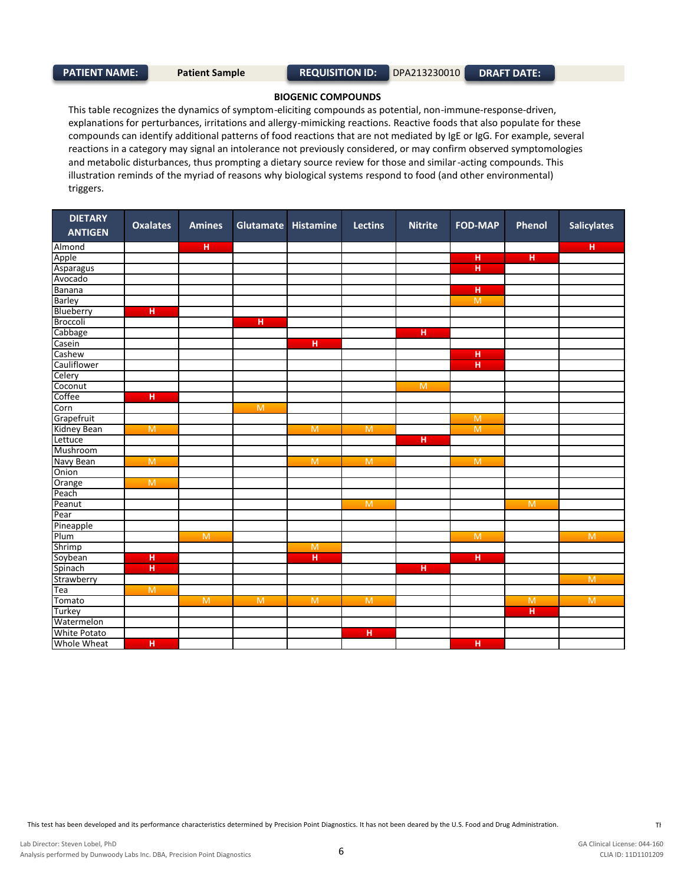#### **BIOGENIC COMPOUNDS**

This table recognizes the dynamics of symptom-eliciting compounds as potential, non-immune-response-driven, explanations for perturbances, irritations and allergy-mimicking reactions. Reactive foods that also populate for these compounds can identify additional patterns of food reactions that are not mediated by IgE or IgG. For example, several reactions in a category may signal an intolerance not previously considered, or may confirm observed symptomologies and metabolic disturbances, thus prompting a dietary source review for those and similar-acting compounds. This illustration reminds of the myriad of reasons why biological systems respond to food (and other environmental) triggers.

| <b>DIETARY</b><br><b>ANTIGEN</b> | <b>Oxalates</b> | <b>Amines</b>        |                | Glutamate Histamine | <b>Lectins</b> | <b>Nitrite</b> | <b>FOD-MAP</b> | Phenol         | <b>Salicylates</b> |
|----------------------------------|-----------------|----------------------|----------------|---------------------|----------------|----------------|----------------|----------------|--------------------|
| Almond                           |                 | $\mathbf{H}_{\perp}$ |                |                     |                |                |                |                | $\mathbf H$        |
| Apple                            |                 |                      |                |                     |                |                | $\overline{H}$ | H.             |                    |
| Asparagus                        |                 |                      |                |                     |                |                | $\overline{H}$ |                |                    |
| Avocado                          |                 |                      |                |                     |                |                |                |                |                    |
| <b>Banana</b>                    |                 |                      |                |                     |                |                | н              |                |                    |
| Barley                           |                 |                      |                |                     |                |                | M              |                |                    |
| Blueberry                        | H               |                      |                |                     |                |                |                |                |                    |
| Broccoli                         |                 |                      | $\overline{H}$ |                     |                |                |                |                |                    |
| Cabbage                          |                 |                      |                |                     |                | $\overline{H}$ |                |                |                    |
| Casein                           |                 |                      |                | H                   |                |                |                |                |                    |
| Cashew                           |                 |                      |                |                     |                |                | н              |                |                    |
| Cauliflower                      |                 |                      |                |                     |                |                | н              |                |                    |
| Celery                           |                 |                      |                |                     |                |                |                |                |                    |
| Coconut                          |                 |                      |                |                     |                | M              |                |                |                    |
| Coffee                           | $\overline{H}$  |                      |                |                     |                |                |                |                |                    |
| Corn                             |                 |                      | $\overline{M}$ |                     |                |                |                |                |                    |
| Grapefruit                       |                 |                      |                |                     |                |                | M              |                |                    |
| Kidney Bean                      | $\overline{M}$  |                      |                | $\overline{M}$      | $\overline{M}$ |                | M              |                |                    |
| Lettuce                          |                 |                      |                |                     |                | H              |                |                |                    |
| Mushroom                         |                 |                      |                |                     |                |                |                |                |                    |
| Navy Bean                        | $\overline{M}$  |                      |                | $\overline{M}$      | $\overline{M}$ |                | M              |                |                    |
| Onion                            |                 |                      |                |                     |                |                |                |                |                    |
| Orange                           | $\overline{M}$  |                      |                |                     |                |                |                |                |                    |
| Peach                            |                 |                      |                |                     |                |                |                |                |                    |
| Peanut                           |                 |                      |                |                     | $\overline{M}$ |                |                | $\overline{M}$ |                    |
| Pear                             |                 |                      |                |                     |                |                |                |                |                    |
| Pineapple                        |                 |                      |                |                     |                |                |                |                |                    |
| Plum                             |                 | $\overline{M}$       |                |                     |                |                | $\overline{M}$ |                | M                  |
| Shrimp                           |                 |                      |                | M                   |                |                |                |                |                    |
| Soybean                          | H               |                      |                | H                   |                |                | H              |                |                    |
| Spinach                          | $\overline{H}$  |                      |                |                     |                | H              |                |                |                    |
| Strawberry                       |                 |                      |                |                     |                |                |                |                | $\overline{M}$     |
| Tea                              | M               |                      |                |                     |                |                |                |                |                    |
| Tomato                           |                 | $\overline{M}$       | $\overline{M}$ | $\overline{M}$      | $\overline{M}$ |                |                | $\overline{M}$ | $\overline{M}$     |
| Turkey                           |                 |                      |                |                     |                |                |                | H              |                    |
| Watermelon                       |                 |                      |                |                     |                |                |                |                |                    |
| <b>White Potato</b>              |                 |                      |                |                     | Η              |                |                |                |                    |
| Whole Wheat                      | $\overline{H}$  |                      |                |                     |                |                | $\overline{H}$ |                |                    |

This test has been developed and its performance characteristics determined by Precision Point Diagnostics. It has not been deared by the U.S. Food and Drug Administration.<br>This test has been developed and its performance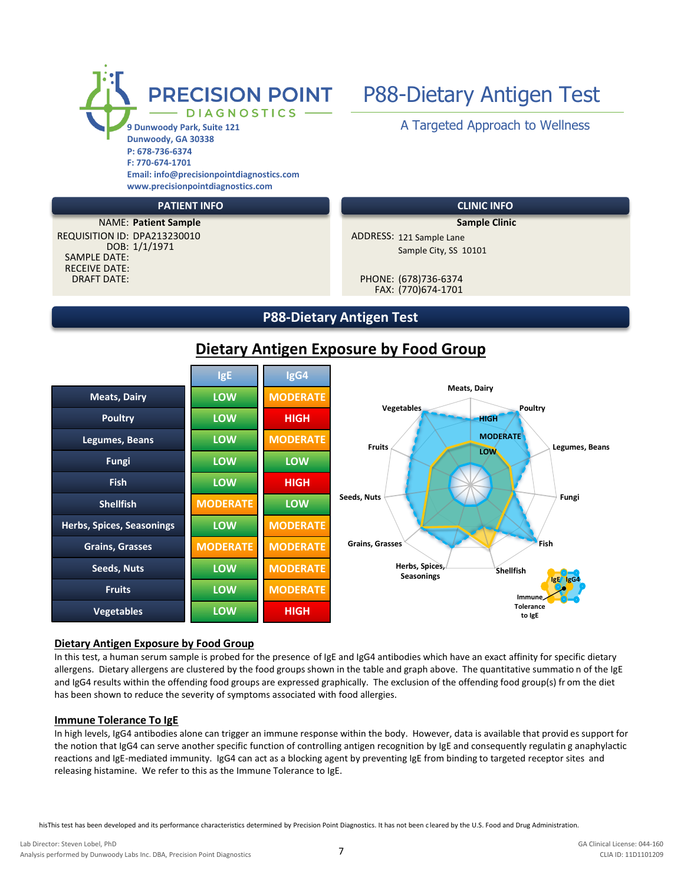

**www.precisionpointdiagnostics.com**

### **PATIENT INFO CLINIC INFO**

DOB: 1/1/1971 SAMPLE DATE: RECEIVE DATE: DRAFT DATE: PHONE: (678)736-6374 **NAME: Patient Sample Sample Sample Clinic** REQUISITION ID: DPA213230010

# PRECISION POINT P88-Dietary Antigen Test

ADDRESS: 121 Sample Lane Sample City, SS 10101

FAX: (770)674-1701

## **P88-Dietary Antigen Test**

## **Dietary Antigen Exposure by Food Group**



### **Dietary Antigen Exposure by Food Group**

In this test, a human serum sample is probed for the presence of IgE and IgG4 antibodies which have an exact affinity for specific dietary allergens. Dietary allergens are clustered by the food groups shown in the table and graph above. The quantitative summatio n of the IgE and IgG4 results within the offending food groups are expressed graphically. The exclusion of the offending food group(s) fr om the diet has been shown to reduce the severity of symptoms associated with food allergies.

### **Immune Tolerance To IgE**

In high levels, IgG4 antibodies alone can trigger an immune response within the body. However, data is available that provid es support for the notion that IgG4 can serve another specific function of controlling antigen recognition by IgE and consequently regulatin g anaphylactic reactions and IgE-mediated immunity. IgG4 can act as a blocking agent by preventing IgE from binding to targeted receptor sites and releasing histamine. We refer to this as the Immune Tolerance to IgE.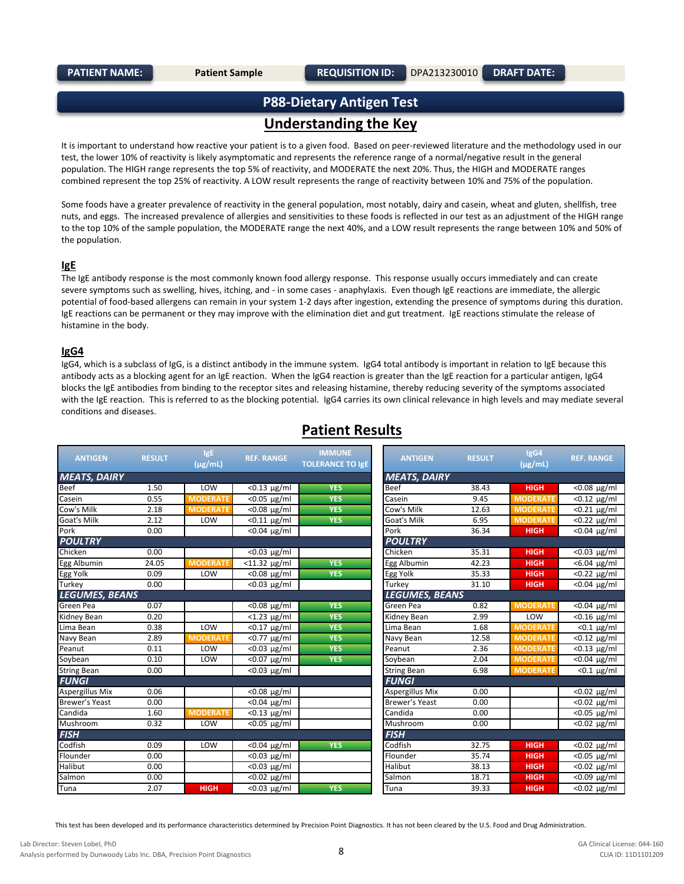## **P88-Dietary Antigen Test Understanding the Key**

It is important to understand how reactive your patient is to a given food. Based on peer-reviewed literature and the methodology used in our test, the lower 10% of reactivity is likely asymptomatic and represents the reference range of a normal/negative result in the general population. The HIGH range represents the top 5% of reactivity, and MODERATE the next 20%. Thus, the HIGH and MODERATE ranges combined represent the top 25% of reactivity. A LOW result represents the range of reactivity between 10% and 75% of the population.

Some foods have a greater prevalence of reactivity in the general population, most notably, dairy and casein, wheat and gluten, shellfish, tree nuts, and eggs. The increased prevalence of allergies and sensitivities to these foods is reflected in our test as an adjustment of the HIGH range to the top 10% of the sample population, the MODERATE range the next 40%, and a LOW result represents the range between 10% and 50% of the population.

#### **IgE**

The IgE antibody response is the most commonly known food allergy response. This response usually occurs immediately and can create severe symptoms such as swelling, hives, itching, and - in some cases - anaphylaxis. Even though IgE reactions are immediate, the allergic potential of food-based allergens can remain in your system 1-2 days after ingestion, extending the presence of symptoms during this duration. IgE reactions can be permanent or they may improve with the elimination diet and gut treatment. IgE reactions stimulate the release of histamine in the body.

#### **IgG4**

IgG4, which is a subclass of IgG, is a distinct antibody in the immune system. IgG4 total antibody is important in relation to IgE because this antibody acts as a blocking agent for an IgE reaction. When the IgG4 reaction is greater than the IgE reaction for a particular antigen, IgG4 blocks the IgE antibodies from binding to the receptor sites and releasing histamine, thereby reducing severity of the symptoms associated with the IgE reaction. This is referred to as the blocking potential. IgG4 carries its own clinical relevance in high levels and may mediate several conditions and diseases.

| <b>ANTIGEN</b>         | <b>RESULT</b> | IgE             | <b>REF. RANGE</b>           | <b>IMMUNE</b>           | <b>ANTIGEN</b>        | <b>RESULT</b> | IgG4            | <b>REF. RANGE</b>           |
|------------------------|---------------|-----------------|-----------------------------|-------------------------|-----------------------|---------------|-----------------|-----------------------------|
|                        |               | $(\mu g/mL)$    |                             | <b>TOLERANCE TO IgE</b> |                       |               | $(\mu$ g/mL)    |                             |
| <b>MEATS, DAIRY</b>    |               |                 |                             |                         | <b>MEATS, DAIRY</b>   |               |                 |                             |
| <b>Beef</b>            | 1.50          | LOW             | $< 0.13$ µg/ml              | <b>YES</b>              | <b>Beef</b>           | 38.43         | <b>HIGH</b>     | <0.08 µg/ml                 |
| Casein                 | 0.55          | <b>MODERATE</b> | $<$ 0.05 µg/ml              | <b>YES</b>              | Casein                | 9.45          | <b>MODERATE</b> | $< 0.12$ µg/ml              |
| Cow's Milk             | 2.18          | <b>MODERATE</b> | $< 0.08$ µg/ml              | <b>YES</b>              | Cow's Milk            | 12.63         | <b>MODERATI</b> | $< 0.21$ µg/ml              |
| <b>Goat's Milk</b>     | 2.12          | LOW             | $< 0.11$ µg/ml              | <b>YES</b>              | <b>Goat's Milk</b>    | 6.95          | <b>MODERATE</b> | $\sqrt{0.22 \mu g/m}$       |
| Pork                   | 0.00          |                 | $<$ 0.04 $\mu$ g/ml         |                         | Pork                  | 36.34         | <b>HIGH</b>     | <0.04 µg/ml                 |
| <b>POULTRY</b>         |               |                 |                             |                         | <b>POULTRY</b>        |               |                 |                             |
| Chicken                | 0.00          |                 | $< 0.03$ µg/ml              |                         | Chicken               | 35.31         | <b>HIGH</b>     | <0.03 µg/ml                 |
| Egg Albumin            | 24.05         | <b>MODERATE</b> | $<$ 11.32 $\mu$ g/ml        | <b>YES</b>              | Egg Albumin           | 42.23         | <b>HIGH</b>     | $< 6.04 \mu g/ml$           |
| Egg Yolk               | 0.09          | LOW             | $< 0.08$ µg/ml              | <b>YES</b>              | Egg Yolk              | 35.33         | <b>HIGH</b>     | <0.22 µg/ml                 |
| Turkey                 | 0.00          |                 | $\overline{0.03 \ \mu g/m}$ |                         | Turkey                | 31.10         | <b>HIGH</b>     | $\overline{0.04 \ \mu g/m}$ |
| <b>LEGUMES, BEANS</b>  |               |                 |                             |                         | <b>LEGUMES, BEANS</b> |               |                 |                             |
| Green Pea              | 0.07          |                 | $< 0.08$ µg/ml              | <b>YES</b>              | Green Pea             | 0.82          | <b>MODERATE</b> | <0.04 µg/ml                 |
| Kidney Bean            | 0.20          |                 | $\sqrt{1.23}$ µg/ml         | <b>YES</b>              | Kidney Bean           | 2.99          | LOW             | $<$ 0.16 µg/ml              |
| Lima Bean              | 0.38          | LOW             | $<$ 0.17 $\mu$ g/ml         | <b>YES</b>              | Lima Bean             | 1.68          | <b>MODERATE</b> | $<$ 0.1 $\mu$ g/ml          |
| Navy Bean              | 2.89          | <b>MODERATE</b> | <0.77 µg/ml                 | <b>YES</b>              | Navy Bean             | 12.58         | <b>MODERATE</b> | $< 0.12$ µg/ml              |
| Peanut                 | 0.11          | LOW             | $< 0.03$ µg/ml              | <b>YES</b>              | Peanut                | 2.36          | <b>MODERATE</b> | $\sqrt{6.13 \text{ µg}}$ ml |
| Soybean                | 0.10          | LOW             | $<$ 0.07 $\mu$ g/ml         | <b>YES</b>              | Soybean               | 2.04          | <b>MODERATE</b> | $< 0.04$ µg/ml              |
| <b>String Bean</b>     | 0.00          |                 | $< 0.03$ µg/ml              |                         | <b>String Bean</b>    | 6.98          | <b>MODERATE</b> | $< 0.1$ µg/ml               |
| <b>FUNGI</b>           |               |                 |                             |                         | <b>FUNGI</b>          |               |                 |                             |
| <b>Aspergillus Mix</b> | 0.06          |                 | $< 0.08$ µg/ml              |                         | Aspergillus Mix       | 0.00          |                 | <0.02 µg/ml                 |
| Brewer's Yeast         | 0.00          |                 | $< 0.04$ µg/ml              |                         | <b>Brewer's Yeast</b> | 0.00          |                 | $< 0.02$ µg/ml              |
| Candida                | 1.60          | <b>MODERATE</b> | $\overline{0.13}$ µg/ml     |                         | Candida               | 0.00          |                 | $\overline{0.05 \ \mu g/m}$ |
| Mushroom               | 0.32          | LOW             | $<$ 0.05 µg/ml              |                         | Mushroom              | 0.00          |                 | <0.02 µg/ml                 |
| <b>FISH</b>            |               |                 |                             |                         | <b>FISH</b>           |               |                 |                             |
| Codfish                | 0.09          | LOW             | $< 0.04 \mu g/ml$           | <b>YES</b>              | Codfish               | 32.75         | <b>HIGH</b>     | $\sqrt{0.02}$ µg/ml         |
| Flounder               | 0.00          |                 | $< 0.03$ µg/ml              |                         | Flounder              | 35.74         | <b>HIGH</b>     | <0.05 µg/ml                 |
| Halibut                | 0.00          |                 | $< 0.03$ µg/ml              |                         | Halibut               | 38.13         | <b>HIGH</b>     | <0.02 µg/ml                 |
| Salmon                 | 0.00          |                 | $\sqrt{0.02 \mu g/m}$       |                         | Salmon                | 18.71         | <b>HIGH</b>     | $\sqrt{6.09 \text{ µg}}$ ml |
| Tuna                   | 2.07          | <b>HIGH</b>     | $< 0.03$ µg/ml              | <b>YES</b>              | Tuna                  | 39.33         | <b>HIGH</b>     | $< 0.02$ µg/ml              |

## **Patient Results**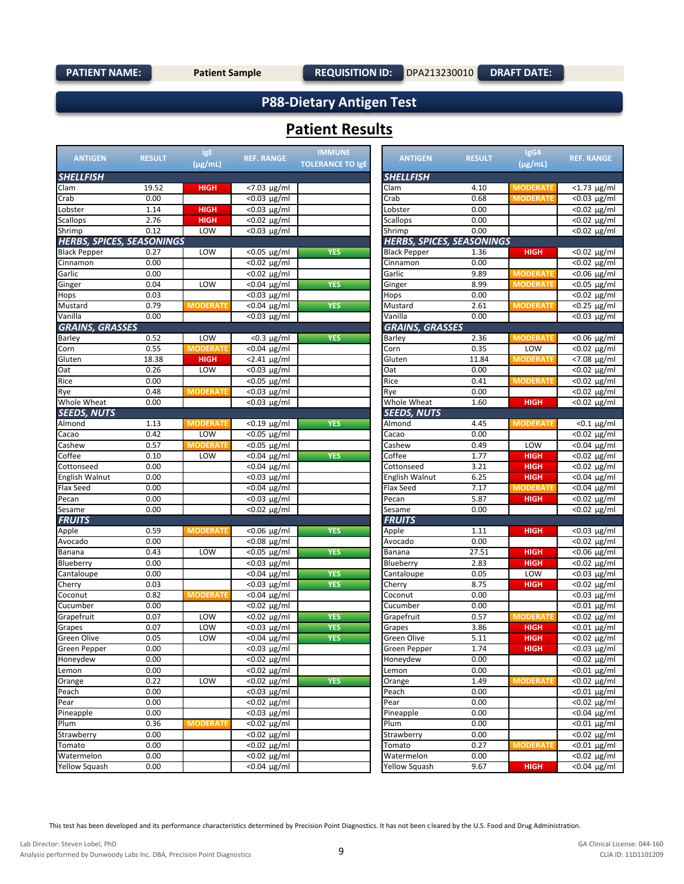**DRAFT DATE:**

## **P88-Dietary Antigen Test**

## **Patient Results**

| <b>ANTIGEN</b>                   | <b>RESULT</b> | IgE<br>(µg/mL)  | <b>REF. RANGE</b>           | <b>IMMUNE</b><br><b>TOLERANCE TO IgE</b> | <b>ANTIGEN</b>                   | <b>RESULT</b> | IgG4<br>$(\mu$ g/mL) | <b>REF. RANGE</b>   |
|----------------------------------|---------------|-----------------|-----------------------------|------------------------------------------|----------------------------------|---------------|----------------------|---------------------|
| <b>SHELLFISH</b>                 |               |                 |                             |                                          | <b>SHELLFISH</b>                 |               |                      |                     |
| Clam                             | 19.52         | <b>HIGH</b>     | $< 7.03 \mu g/ml$           |                                          | Clam                             | 4.10          | <b>MODERATE</b>      | $<$ 1.73 µg/ml      |
| Crab                             | 0.00          |                 | $< 0.03$ µg/ml              |                                          | Crab                             | 0.68          | <b>MODERATI</b>      | <0.03 µg/ml         |
| Lobster                          | 1.14          | <b>HIGH</b>     | $\overline{0.03 \ \mu g/m}$ |                                          | Lobster                          | 0.00          |                      | <0.02 µg/ml         |
| <b>Scallops</b>                  | 2.76          | <b>HIGH</b>     | $< 0.02$ µg/ml              |                                          | Scallops                         | 0.00          |                      | <0.02 µg/ml         |
| Shrimp                           | 0.12          | LOW             | $\overline{0.03 \ \mu g/m}$ |                                          | Shrimp                           | 0.00          |                      | <0.02 µg/ml         |
| <b>HERBS, SPICES, SEASONINGS</b> |               |                 |                             |                                          | <b>HERBS, SPICES, SEASONINGS</b> |               |                      |                     |
| <b>Black Pepper</b>              | 0.27          | LOW             | $\overline{0.05}$ µg/ml     | <b>YES</b>                               | <b>Black Pepper</b>              | 1.36          | <b>HIGH</b>          | <0.02 µg/ml         |
| Cinnamon                         | 0.00          |                 | <0.02 µg/ml                 |                                          | Cinnamon                         | 0.00          |                      | <0.02 μg/ml         |
| Garlic                           | 0.00          |                 | $\overline{0.02}$ µg/ml     |                                          | Garlic                           | 9.89          | <b>MODERATE</b>      | $\sqrt{0.06}$ µg/ml |
| Ginger                           | 0.04          | LOW             | $\overline{0.04}$ µg/ml     | <b>YES</b>                               | Ginger                           | 8.99          | <b>MODERATE</b>      | <0.05 µg/ml         |
| Hops                             | 0.03          |                 | $< 0.03 \mu g/ml$           |                                          | Hops                             | 0.00          |                      | $< 0.02 \mu g/ml$   |
| Mustard                          | 0.79          | <b>MODERATI</b> | $< 0.04$ µg/ml              | <b>YES</b>                               | Mustard                          | 2.61          | <b>MODERAT</b>       | $< 0.25$ µg/ml      |
| Vanilla                          | 0.00          |                 | $\overline{0.03}$ µg/ml     |                                          | Vanilla                          | 0.00          |                      | <0.03 µg/ml         |
| <b>GRAINS, GRASSES</b>           |               |                 |                             |                                          | <b>GRAINS, GRASSES</b>           |               |                      |                     |
| Barley                           | 0.52          | LOW             | $\sqrt{80.3}$ µg/ml         | <b>YES</b>                               | Barley                           | 2.36          | <b>MODERATE</b>      | <0.06 μg/ml         |
| Corn                             | 0.55          | <b>MODERATE</b> | $< 0.04$ µg/ml              |                                          | Corn                             | 0.35          | LOW                  | $< 0.02 \mu g/ml$   |
| Gluten                           | 18.38         | <b>HIGH</b>     | $<$ 2.41 $\mu$ g/ml         |                                          | Gluten                           | 11.84         | <b>MODERAT</b>       | <7.08 µg/ml         |
| Oat                              | 0.26          | LOW             | $< 0.03$ µg/ml              |                                          | Oat                              | 0.00          |                      | <0.02 µg/ml         |
| Rice                             | 0.00          |                 | $\overline{0.05 \ \mu g/m}$ |                                          | Rice                             | 0.41          | <b>MODERATE</b>      | <0.02 µg/ml         |
| Rye                              | 0.48          | <b>MODERATI</b> | $< 0.03$ µg/ml              |                                          | Rye                              | 0.00          |                      | <0.02 µg/ml         |
| Whole Wheat                      | 0.00          |                 | $< 0.03$ µg/ml              |                                          | Whole Wheat                      | 1.60          | <b>HIGH</b>          |                     |
|                                  |               |                 |                             |                                          |                                  |               |                      | <0.02 µg/ml         |
| <b>SEEDS, NUTS</b>               |               |                 |                             |                                          | <b>SEEDS, NUTS</b>               |               |                      |                     |
| Almond                           | 1.13          | <b>MODERATE</b> | $<$ 0.19 µg/ml              | <b>YES</b>                               | Almond                           | 4.45          | <b>MODERATE</b>      | $<$ 0.1 $\mu$ g/ml  |
| Cacao                            | 0.42          | LOW             | $\overline{0.05 \ \mu g/m}$ |                                          | Cacao                            | 0.00          |                      | <0.02 µg/ml         |
| Cashew                           | 0.57          | <b>MODERATI</b> | $<$ 0.05 µg/ml              |                                          | Cashew                           | 0.49          | LOW                  | $< 0.04$ µg/ml      |
| Coffee                           | 0.10          | LOW             | $< 0.04$ µg/ml              | <b>YES</b>                               | Coffee                           | 1.77          | <b>HIGH</b>          | $< 0.02 \mu g/ml$   |
| Cottonseed                       | 0.00          |                 | $< 0.04$ µg/ml              |                                          | Cottonseed                       | 3.21          | <b>HIGH</b>          | <0.02 µg/ml         |
| English Walnut                   | 0.00          |                 | <0.03 µg/ml                 |                                          | <b>English Walnut</b>            | 6.25          | <b>HIGH</b>          | $< 0.04$ µg/ml      |
| Flax Seed                        | 0.00          |                 | $\overline{0.04}$ µg/ml     |                                          | Flax Seed                        | 7.17          | <b>MODERATE</b>      | $< 0.04$ µg/ml      |
| Pecan                            | 0.00          |                 | $< 0.03$ µg/ml              |                                          | Pecan                            | 5.87          | <b>HIGH</b>          | <0.02 µg/ml         |
| Sesame                           | 0.00          |                 | $<$ 0.02 µg/ml              |                                          | Sesame                           | 0.00          |                      | <0.02 µg/ml         |
| <b>FRUITS</b>                    |               |                 |                             |                                          | <b>FRUITS</b>                    |               |                      |                     |
| Apple                            | 0.59          | <b>MODERATE</b> | $<$ 0.06 $\mu$ g/ml         | <b>YES</b>                               | Apple                            | 1.11          | <b>HIGH</b>          | <0.03 µg/ml         |
| Avocado                          | 0.00          |                 | $\overline{0.08 \ \mu g/m}$ |                                          | Avocado                          | 0.00          |                      | <0.02 µg/ml         |
| Banana                           | 0.43          | LOW             | $<$ 0.05 µg/ml              | <b>YES</b>                               | Banana                           | 27.51         | <b>HIGH</b>          | <0.06 µg/ml         |
| Blueberry                        | 0.00          |                 | $< 0.03$ µg/ml              |                                          | Blueberry                        | 2.83          | <b>HIGH</b>          | $< 0.02 \mu g/ml$   |
| Cantaloupe                       | 0.00          |                 | $< 0.04$ µg/ml              | <b>YES</b>                               | Cantaloupe                       | 0.05          | LOW                  | <0.03 μg/ml         |
| Cherry                           | 0.03          |                 | $< 0.03$ µg/ml              | <b>YES</b>                               | Cherry                           | 8.75          | <b>HIGH</b>          | <0.02 µg/ml         |
| Coconut                          | 0.82          | <b>MODERATI</b> | $< 0.04$ µg/ml              |                                          | Coconut                          | 0.00          |                      | <0.03 µg/ml         |
| Cucumber                         | 0.00          |                 | <0.02 µg/ml                 |                                          | Cucumber                         | 0.00          |                      | $<$ 0.01 $\mu$ g/ml |
| Grapefruit                       | 0.07          | LOW             | $< 0.02$ µg/ml              | <b>YES</b>                               | Grapefruit                       | 0.57          | <b>MODERATE</b>      | $< 0.02 \mu g/ml$   |
| Grapes                           | 0.07          | LOW             | $< 0.03$ µg/ml              | <b>YES</b>                               | Grapes                           | 3.86          | <b>HIGH</b>          | $<$ 0.01 $\mu$ g/ml |
| Green Olive                      | 0.05          | LOW             | $< 0.04$ µg/ml              | <b>YES</b>                               | Green Olive                      | 5.11          | <b>HIGH</b>          | <0.02 µg/ml         |
| Green Pepper                     | 0.00          |                 | $< 0.03 \mu g/ml$           |                                          | Green Pepper                     | 1.74          | HIGH                 | <0.03 µg/ml         |
| Honeydew                         | 0.00          |                 | $<$ 0.02 µg/ml              |                                          | Honeydew                         | 0.00          |                      | $< 0.02$ µg/ml      |
| Lemon                            | 0.00          |                 | $< 0.02 \mu g/ml$           |                                          | Lemon                            | 0.00          |                      | $<$ 0.01 $\mu$ g/ml |
| Orange                           | 0.22          | LOW             | $< 0.02$ µg/ml              | <b>YES</b>                               | Orange                           | 1.49          | <b>MODERATI</b>      | <0.02 µg/ml         |
| Peach                            | 0.00          |                 | $< 0.03$ µg/ml              |                                          | Peach                            | 0.00          |                      | $<$ 0.01 $\mu$ g/ml |
| Pear                             | 0.00          |                 | $< 0.02$ µg/ml              |                                          | Pear                             | 0.00          |                      | <0.02 µg/ml         |
| Pineapple                        | 0.00          |                 | $< 0.03$ µg/ml              |                                          | Pineapple                        | 0.00          |                      | <0.04 µg/ml         |
| Plum                             | 0.36          | <b>MODERATE</b> | $< 0.02$ µg/ml              |                                          | Plum                             | 0.00          |                      | $<$ 0.01 $\mu$ g/ml |
| Strawberry                       | 0.00          |                 | $< 0.02$ µg/ml              |                                          | Strawberry                       | 0.00          |                      | $< 0.02 \mu g/ml$   |
| Tomato                           | 0.00          |                 | $< 0.02$ µg/ml              |                                          | Tomato                           | 0.27          | <b>MODERATE</b>      | $<$ 0.01 $\mu$ g/ml |
| Watermelon                       | 0.00          |                 | $< 0.02$ µg/ml              |                                          | Watermelon                       | 0.00          |                      | $< 0.02 \mu g/ml$   |
| <b>Yellow Squash</b>             | 0.00          |                 | $< 0.04$ µg/ml              |                                          | Yellow Squash                    | 9.67          | <b>HIGH</b>          | $< 0.04$ µg/ml      |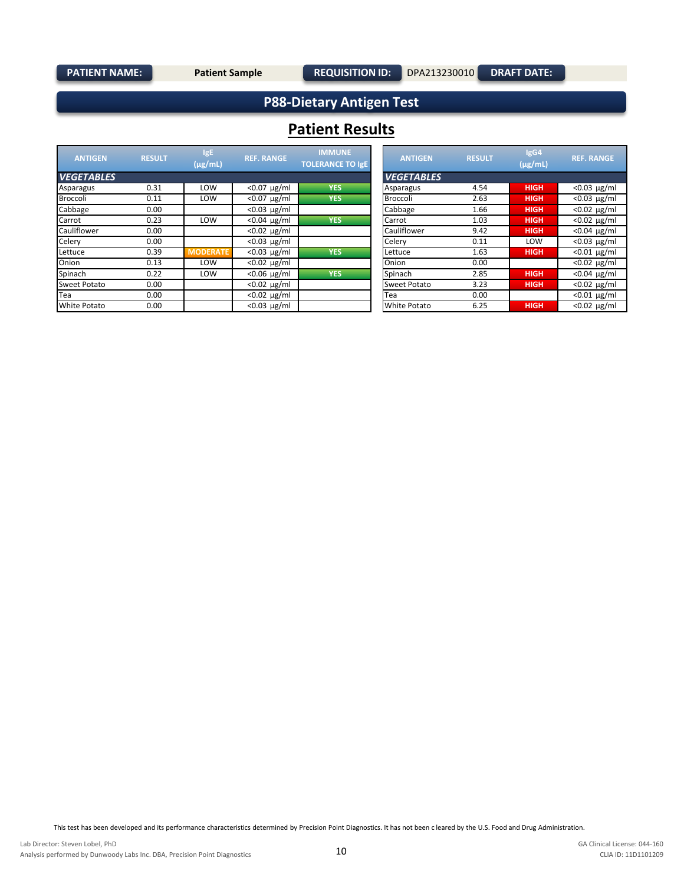### **PATIENT NAME:** Patient Sample

**DRAFT DATE:**

## **P88-Dietary Antigen Test**

## **Patient Results**

| <b>ANTIGEN</b>      | <b>RESULT</b> | IgE<br>$(\mu$ g/mL) | <b>REF. RANGE</b> | <b>IMMUNE</b><br><b>TOLERANCE TO IgE</b> | <b>ANTIGEN</b>      | <b>RESULT</b> | lgG4<br>$(\mu$ g/mL) | <b>REF. RANGE</b> |
|---------------------|---------------|---------------------|-------------------|------------------------------------------|---------------------|---------------|----------------------|-------------------|
| <b>VEGETABLES</b>   |               |                     |                   |                                          | <b>VEGETABLES</b>   |               |                      |                   |
| Asparagus           | 0.31          | LOW                 | $< 0.07 \mu g/ml$ | <b>YES</b>                               | Asparagus           | 4.54          | <b>HIGH</b>          | $< 0.03 \mu g/ml$ |
| Broccoli            | 0.11          | LOW                 | $< 0.07 \mu g/ml$ | <b>YES</b>                               | Broccoli            | 2.63          | <b>HIGH</b>          | $< 0.03 \mu g/ml$ |
| Cabbage             | 0.00          |                     | $< 0.03 \mu g/ml$ |                                          | Cabbage             | 1.66          | <b>HIGH</b>          | $< 0.02 \mu g/ml$ |
| Carrot              | 0.23          | LOW                 | $< 0.04 \mu g/ml$ | <b>YES</b>                               | Carrot              | 1.03          | <b>HIGH</b>          | $< 0.02 \mu g/ml$ |
| Cauliflower         | 0.00          |                     | $< 0.02 \mu g/ml$ |                                          | Cauliflower         | 9.42          | <b>HIGH</b>          | $< 0.04 \mu g/ml$ |
| Celery              | 0.00          |                     | $< 0.03 \mu g/ml$ |                                          | Celery              | 0.11          | LOW                  | $< 0.03$ µg/ml    |
| Lettuce             | 0.39          | <b>MODERATE</b>     | $< 0.03 \mu g/ml$ | <b>YES</b>                               | Lettuce             | 1.63          | <b>HIGH</b>          | $< 0.01 \mu g/ml$ |
| Onion               | 0.13          | LOW                 | $< 0.02 \mu g/ml$ |                                          | Onion               | 0.00          |                      | $< 0.02 \mu g/ml$ |
| Spinach             | 0.22          | LOW                 | $< 0.06 \mu g/ml$ | <b>YES</b>                               | Spinach             | 2.85          | <b>HIGH</b>          | $< 0.04 \mu g/ml$ |
| Sweet Potato        | 0.00          |                     | $< 0.02 \mu g/ml$ |                                          | <b>Sweet Potato</b> | 3.23          | <b>HIGH</b>          | $< 0.02 \mu g/ml$ |
| Tea                 | 0.00          |                     | $< 0.02 \mu g/ml$ |                                          | Tea                 | 0.00          |                      | $< 0.01 \mu g/ml$ |
| <b>White Potato</b> | 0.00          |                     | $< 0.03 \mu g/ml$ |                                          | <b>White Potato</b> | 6.25          | <b>HIGH</b>          | $< 0.02 \mu g/ml$ |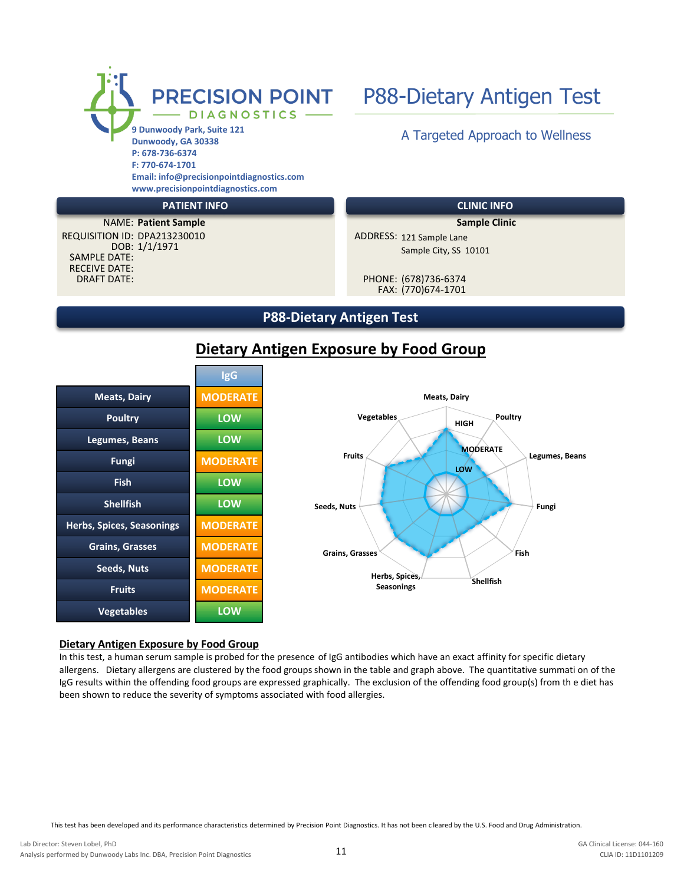

### **PATIENT INFO CLINIC INFO**

DRAFT DATE: RECEIVE DATE: DOB: 1/1/1971 SAMPLE DATE: **Patient Sample**  NAME: **Sample Clinic** REQUISITION ID: DPA213230010

ADDRESS: 121 Sample Lane Sample City, SS 10101

FAX: (770)674-1701 PHONE: (678)736-6374

### **P88-Dietary Antigen Test**



## **Dietary Antigen Exposure by Food Group**



#### **Dietary Antigen Exposure by Food Group**

In this test, a human serum sample is probed for the presence of IgG antibodies which have an exact affinity for specific dietary allergens. Dietary allergens are clustered by the food groups shown in the table and graph above. The quantitative summati on of the IgG results within the offending food groups are expressed graphically. The exclusion of the offending food group(s) from th e diet has been shown to reduce the severity of symptoms associated with food allergies.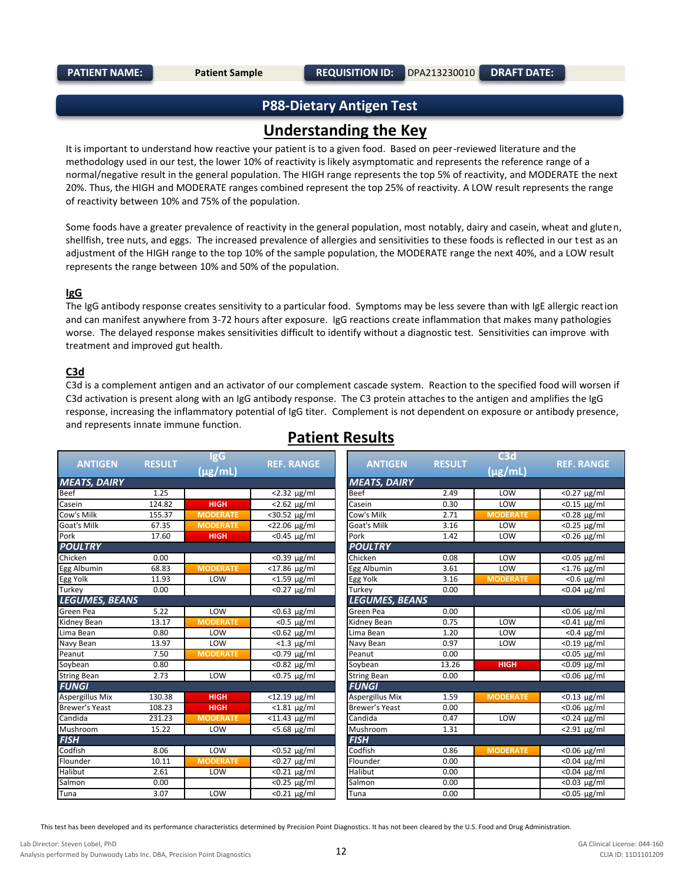## **P88-Dietary Antigen Test**

## **Understanding the Key**

It is important to understand how reactive your patient is to a given food. Based on peer-reviewed literature and the methodology used in our test, the lower 10% of reactivity is likely asymptomatic and represents the reference range of a normal/negative result in the general population. The HIGH range represents the top 5% of reactivity, and MODERATE the next 20%. Thus, the HIGH and MODERATE ranges combined represent the top 25% of reactivity. A LOW result represents the range of reactivity between 10% and 75% of the population.

Some foods have a greater prevalence of reactivity in the general population, most notably, dairy and casein, wheat and glute n, shellfish, tree nuts, and eggs. The increased prevalence of allergies and sensitivities to these foods is reflected in our t est as an adjustment of the HIGH range to the top 10% of the sample population, the MODERATE range the next 40%, and a LOW result represents the range between 10% and 50% of the population.

### **IgG**

The IgG antibody response creates sensitivity to a particular food. Symptoms may be less severe than with IgE allergic reaction and can manifest anywhere from 3-72 hours after exposure. IgG reactions create inflammation that makes many pathologies worse. The delayed response makes sensitivities difficult to identify without a diagnostic test. Sensitivities can improve with treatment and improved gut health.

### **C3d**

C3d is a complement antigen and an activator of our complement cascade system. Reaction to the specified food will worsen if C3d activation is present along with an IgG antibody response. The C3 protein attaches to the antigen and amplifies the IgG response, increasing the inflammatory potential of IgG titer. Complement is not dependent on exposure or antibody presence, and represents innate immune function.

|                       |               | <b>IgG</b>      |                             |                       |               | C3d             |                              |
|-----------------------|---------------|-----------------|-----------------------------|-----------------------|---------------|-----------------|------------------------------|
| <b>ANTIGEN</b>        | <b>RESULT</b> | $(\mu$ g/mL)    | <b>REF. RANGE</b>           | <b>ANTIGEN</b>        | <b>RESULT</b> | $(\mu$ g/mL)    | <b>REF. RANGE</b>            |
| <b>MEATS, DAIRY</b>   |               |                 |                             | <b>MEATS, DAIRY</b>   |               |                 |                              |
| Beef                  | 1.25          |                 | $<$ 2.32 $\mu$ g/ml         | Beef                  | 2.49          | LOW             | $<$ 0.27 $\mu$ g/ml          |
| Casein                | 124.82        | <b>HIGH</b>     | $< 2.62$ µg/ml              | Casein                | 0.30          | LOW             | $<$ 0.15 µg/ml               |
| Cow's Milk            | 155.37        | <b>MODERATE</b> | <30.52 µg/ml                | Cow's Milk            | 2.71          | <b>MODERATE</b> | $<$ 0.28 $\mu$ g/ml          |
| <b>Goat's Milk</b>    | 67.35         | <b>MODERATE</b> | <22.06 µg/ml                | Goat's Milk           | 3.16          | LOW             | $<$ 0.25 µg/ml               |
| Pork                  | 17.60         | <b>HIGH</b>     | $<$ 0.45 µg/ml              | Pork                  | 1.42          | LOW             | $<$ 0.26 $\mu$ g/ml          |
| <b>POULTRY</b>        |               |                 |                             | <b>POULTRY</b>        |               |                 |                              |
| Chicken               | 0.00          |                 | $\overline{0.39 \ \mu g/m}$ | Chicken               | 0.08          | LOW             | $<$ 0.05 µg/ml               |
| Egg Albumin           | 68.83         | <b>MODERATE</b> | $<$ 17.86 $\mu$ g/ml        | Egg Albumin           | 3.61          | LOW             | $<$ 1.76 µg/ml               |
| Egg Yolk              | 11.93         | LOW             | $< 1.59 \mu g/ml$           | Egg Yolk              | 3.16          | <b>MODERATE</b> | $<$ 0.6 µg/ml                |
| Turkey                | 0.00          |                 | $<$ 0.27 $\mu$ g/ml         | Turkey                | 0.00          |                 | $< 0.04 \mu g/ml$            |
| <b>LEGUMES, BEANS</b> |               |                 |                             | <b>LEGUMES, BEANS</b> |               |                 |                              |
| Green Pea             | 5.22          | LOW             | $< 0.63$ µg/ml              | Green Pea             | 0.00          |                 | $<$ 0.06 $\mu$ g/ml          |
| Kidney Bean           | 13.17         | <b>MODERATE</b> | $<$ 0.5 $\mu$ g/ml          | Kidney Bean           | 0.75          | LOW             | $\sqrt{60.41}$ µg/ml         |
| Lima Bean             | 0.80          | LOW             | $< 0.62$ µg/ml              | Lima Bean             | 1.20          | LOW             | $<$ 0.4 $\mu$ g/ml           |
| Navy Bean             | 13.97         | LOW             | $<$ 1.3 $\mu$ g/ml          | Navy Bean             | 0.97          | LOW             | $<$ 0.19 $\mu$ g/ml          |
| Peanut                | 7.50          | <b>MODERATE</b> | $< 0.79$ $\mu$ g/ml         | Peanut                | 0.00          |                 | $<$ 0.05 $\mu$ g/ml          |
| Soybean               | 0.80          |                 | $\sqrt{6.82}$ µg/ml         | Soybean               | 13.26         | <b>HIGH</b>     | $< 0.09 \mu g/ml$            |
| <b>String Bean</b>    | 2.73          | LOW             | <0.75 µg/ml                 | <b>String Bean</b>    | 0.00          |                 | $<$ 0.06 $\mu$ g/ml          |
| <b>FUNGI</b>          |               |                 |                             | <b>FUNGI</b>          |               |                 |                              |
| Aspergillus Mix       | 130.38        | <b>HIGH</b>     | $<$ 12.19 $\mu$ g/ml        | Aspergillus Mix       | 1.59          | <b>MODERATE</b> | $<$ 0.13 $\mu$ g/ml          |
| Brewer's Yeast        | 108.23        | <b>HIGH</b>     | $<$ 1.81 $\mu$ g/ml         | Brewer's Yeast        | 0.00          |                 | $<$ 0.06 µg/ml               |
| Candida               | 231.23        | <b>MODERATE</b> | $<$ 11.43 $\mu$ g/ml        | Candida               | 0.47          | LOW             | $<$ 0.24 µg/ml               |
| Mushroom              | 15.22         | LOW             | $< 5.68$ µg/ml              | Mushroom              | 1.31          |                 | $< 2.91 \mu g/ml$            |
| <b>FISH</b>           |               |                 |                             | <b>FISH</b>           |               |                 |                              |
| Codfish               | 8.06          | LOW             | $<$ 0.52 µg/ml              | Codfish               | 0.86          | <b>MODERATE</b> | $\overline{0.06}$ $\mu$ g/ml |
| Flounder              | 10.11         | <b>MODERATE</b> | $<$ 0.27 $\mu$ g/ml         | Flounder              | 0.00          |                 | $< 0.04$ µg/ml               |
| Halibut               | 2.61          | LOW             | $< 0.21 \mu g/ml$           | Halibut               | 0.00          |                 | $< 0.04 \mu g/ml$            |
| Salmon                | 0.00          |                 | $<$ 0.25 $\mu$ g/ml         | Salmon                | 0.00          |                 | $<$ 0.03 µg/ml               |
| Tuna                  | 3.07          | LOW             | $<$ 0.21 $\mu$ g/ml         | Tuna                  | 0.00          |                 | <0.05 µg/ml                  |

## **Patient Results**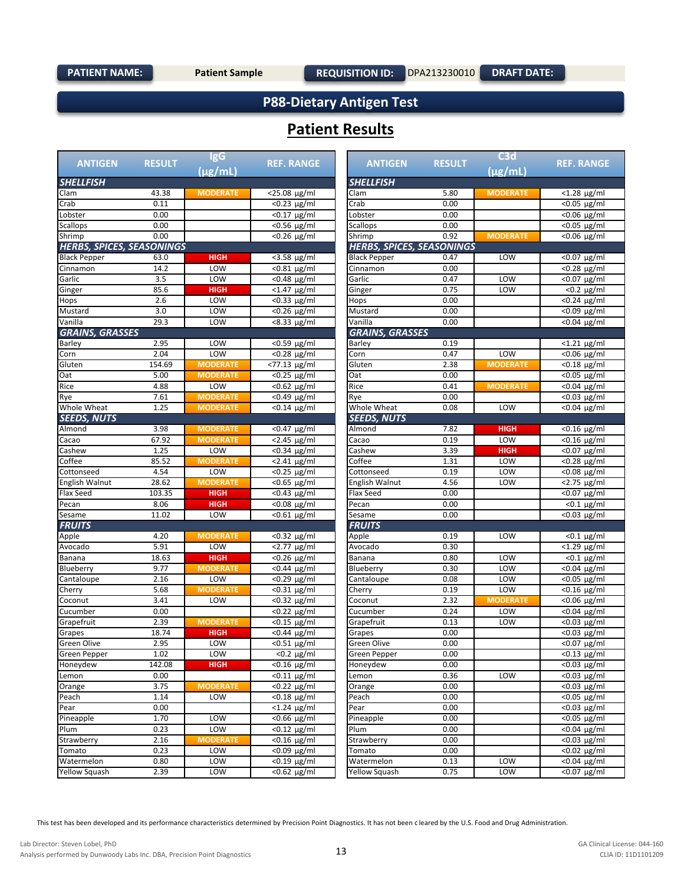**DRAFT DATE:**

## **P88-Dietary Antigen Test**

## **Patient Results**

|                                  |               | <b>IgG</b>      |                                   |                                  |               | C3d             |                               |
|----------------------------------|---------------|-----------------|-----------------------------------|----------------------------------|---------------|-----------------|-------------------------------|
| <b>ANTIGEN</b>                   | <b>RESULT</b> | $(\mu$ g/mL)    | <b>REF. RANGE</b>                 | <b>ANTIGEN</b>                   | <b>RESULT</b> | (µg/mL)         | <b>REF. RANGE</b>             |
| <b>SHELLFISH</b>                 |               |                 |                                   | <b>SHELLFISH</b>                 |               |                 |                               |
| Clam                             | 43.38         | <b>MODERATE</b> | $\overline{25.08}$ µg/ml          | Clam                             | 5.80          | <b>MODERATE</b> | $<$ 1.28 µg/ml                |
| Crab                             | 0.11          |                 | $\sqrt{0.23 \text{ µg/ml}}$       | Crab                             | 0.00          |                 | $\overline{0.05 \ \mu g/m}$   |
| Lobster                          | 0.00          |                 | $<$ 0.17 $\mu$ g/ml               | Lobster                          | 0.00          |                 | $< 0.06$ µg/ml                |
| <b>Scallops</b>                  | 0.00          |                 | $< 0.56 \mu g/ml$                 | <b>Scallops</b>                  | 0.00          |                 | $\overline{0.05 \ \mu g/m}$   |
| Shrimp                           | 0.00          |                 | $< 0.26 \mu g/ml$                 | Shrimp                           | 0.92          | <b>MODERATE</b> | <0.06 µg/ml                   |
| <b>HERBS, SPICES, SEASONINGS</b> |               |                 |                                   | <b>HERBS, SPICES, SEASONINGS</b> |               |                 |                               |
| <b>Black Pepper</b>              | 63.0          | <b>HIGH</b>     | <3.58 µg/ml                       | <b>Black Pepper</b>              | 0.47          | LOW             | <0.07 µg/ml                   |
| Cinnamon                         | 14.2          | LOW             | $< 0.81 \mu g/ml$                 | Cinnamon                         | 0.00          |                 | $< 0.28 \mu g/ml$             |
| Garlic                           | 3.5           | LOW             | $< 0.48 \mu g/ml$                 | Garlic                           | 0.47          | LOW             | $\overline{0.07}$ $\mu$ g/ml  |
| Ginger                           | 85.6          | <b>HIGH</b>     | $<$ 1.47 $\mu$ g/ml               | Ginger                           | 0.75          | LOW             | $< 0.2 \mu g/ml$              |
| Hops                             | 2.6           | LOW             | $< 0.33 \mu g/ml$                 | Hops                             | 0.00          |                 | <0.24 µg/ml                   |
| Mustard                          | 3.0           | LOW             | $< 0.26 \mu g/ml$                 | Mustard                          | 0.00          |                 | $\overline{0.09}$ $\mu$ g/ml  |
| Vanilla                          | 29.3          | LOW             | $< 8.33 \mu g/ml$                 | Vanilla                          | 0.00          |                 | $< 0.04$ µg/ml                |
| <b>GRAINS, GRASSES</b>           |               |                 |                                   | <b>GRAINS, GRASSES</b>           |               |                 |                               |
| Barley                           | 2.95          | LOW             | $< 0.59 \mu g/ml$                 | Barley                           | 0.19          |                 | $<$ 1.21 $\mu$ g/ml           |
| Corn                             | 2.04          | LOW             | $< 0.28 \mu g/ml$                 | Corn                             | 0.47          | LOW             | $< 0.06 \mu g/ml$             |
| Gluten                           | 154.69        | <b>MODERATE</b> | $\overline{577.13 \text{ µg/ml}}$ | Gluten                           | 2.38          | <b>MODERATE</b> | $< 0.18$ µg/ml                |
| Oat                              | 5.00          | <b>MODERATE</b> | $<$ 0.25 $\mu$ g/ml               | Oat                              | 0.00          |                 | $\overline{0.05}$ µg/ml       |
| Rice                             | 4.88          | LOW             | $< 0.62 \mu g/ml$                 | Rice                             | 0.41          | <b>MODERATE</b> | $< 0.04 \mu g/ml$             |
| Rye                              | 7.61          | <b>MODERATE</b> | $< 0.49$ µg/ml                    | Rye                              | 0.00          |                 | $< 0.03 \mu g/ml$             |
| Whole Wheat                      | 1.25          | <b>MODERATE</b> | $< 0.14 \mu g/ml$                 | Whole Wheat                      | 0.08          | LOW             | <0.04 µg/ml                   |
| <b>SEEDS. NUTS</b>               |               |                 |                                   | <b>SEEDS, NUTS</b>               |               |                 |                               |
| Almond                           | 3.98          | <b>MODERATE</b> | $< 0.47 \mu g/ml$                 | Almond                           | 7.82          | <b>HIGH</b>     | $< 0.16$ µg/ml                |
| Cacao                            | 67.92         | <b>MODERATE</b> | $<$ 2.45 $\mu$ g/ml               | Cacao                            | 0.19          | LOW             | $< 0.16$ µg/ml                |
| Cashew                           | 1.25          | LOW             | $< 0.34 \mu g/ml$                 | Cashew                           | 3.39          | <b>HIGH</b>     | $< 0.07 \mu g/ml$             |
| Coffee                           | 85.52         | <b>MODERATE</b> | $< 2.41 \mu g/ml$                 | Coffee                           | 1.31          | LOW             | $< 0.28 \mu g/ml$             |
| Cottonseed                       | 4.54          | LOW             | $< 0.25 \mu g/ml$                 | Cottonseed                       | 0.19          | LOW             | $< 0.08 \mu g/ml$             |
| English Walnut                   | 28.62         | <b>MODERATE</b> | $<$ 0.65 $\mu$ g/ml               | <b>English Walnut</b>            | 4.56          | LOW             | $< 2.75 \mu g/ml$             |
| Flax Seed                        | 103.35        | <b>HIGH</b>     | $< 0.43 \mu g/ml$                 | Flax Seed                        | 0.00          |                 | $\overline{0.07}$ $\mu$ g/ml  |
| Pecan                            | 8.06          | <b>HIGH</b>     | $< 0.08 \mu g/ml$                 | Pecan                            | 0.00          |                 | $< 0.1 \mu g/ml$              |
| Sesame                           | 11.02         | LOW             | $< 0.61 \mu g/ml$                 | Sesame                           | 0.00          |                 | <0.03 µg/ml                   |
| <b>FRUITS</b>                    |               |                 |                                   | <b>FRUITS</b>                    |               |                 |                               |
| Apple                            | 4.20          | <b>MODERATE</b> | $< 0.32 \mu g/ml$                 | Apple                            | 0.19          | LOW             | $< 0.1 \mu g/ml$              |
| Avocado                          | 5.91          | LOW             | $< 2.77 \mu g/ml$                 | Avocado                          | 0.30          |                 | $\overline{21.29 \ \mu g/ml}$ |
| Banana                           | 18.63         | <b>HIGH</b>     | $< 0.26 \mu g/ml$                 | Banana                           | 0.80          | LOW             | $< 0.1 \mu g/ml$              |
| Blueberry                        | 9.77          | <b>MODERATE</b> | $< 0.44 \mu g/ml$                 | Blueberry                        | 0.30          | LOW             | <0.04 µg/ml                   |
| Cantaloupe                       | 2.16          | LOW             | $< 0.29 \mu g/ml$                 | Cantaloupe                       | 0.08          | LOW             | $< 0.05 \mu g/ml$             |
| Cherry                           | 5.68          | <b>MODERATE</b> | $< 0.31 \mu g/ml$                 | Cherry                           | 0.19          | LOW             | $< 0.16$ µg/ml                |
| Coconut                          | 3.41          | LOW             | $< 0.32 \mu g/ml$                 | Coconut                          | 2.32          | <b>MODERATE</b> | $< 0.06$ µg/ml                |
| Cucumber                         | 0.00          |                 | $< 0.22 \mu g/ml$                 | Cucumber                         | 0.24          | LOW             | $< 0.04 \mu g/ml$             |
| Grapefruit                       | 2.39          | <b>MODERATE</b> | $< 0.15 \mu g/ml$                 | Grapefruit                       | 0.13          | LOW             | $< 0.03 \mu g/ml$             |
| Grapes                           | 18.74         | <b>HIGH</b>     | $< 0.44 \mu g/ml$                 | Grapes                           | 0.00          |                 | $< 0.03$ µg/ml                |
| <b>Green Olive</b>               | 2.95          | LOW             | $< 0.51 \mu g/ml$                 | Green Olive                      | 0.00          |                 | $\sqrt{0.07}$ µg/ml           |
| Green Pepper                     | 1.02          | <b>LOW</b>      | $< 0.2 \mu g/ml$                  | Green Pepper                     | 0.00          |                 | <0.13 µg/ml                   |
| Honeydew                         | 142.08        | <b>HIGH</b>     | $< 0.16$ µg/ml                    | Honeydew                         | 0.00          |                 | $< 0.03 \mu g/ml$             |
| Lemon                            | 0.00          |                 | $< 0.11 \mu g/ml$                 | Lemon                            | 0.36          | <b>LOW</b>      | $< 0.03 \mu g/ml$             |
| Orange                           | 3.75          | <b>MODERATE</b> | <0.22 µg/ml                       | Orange                           | 0.00          |                 | $< 0.03$ µg/ml                |
| Peach                            | 1.14          | LOW             | $< 0.18$ µg/ml                    | Peach                            | 0.00          |                 | $< 0.05 \mu g/ml$             |
| Pear                             | 0.00          |                 | $< 1.24 \mu g/ml$                 | Pear                             | 0.00          |                 | $<$ 0.03 µg/ml                |
| Pineapple                        | 1.70          | LOW             | $<$ 0.66 $\mu$ g/ml               | Pineapple                        | 0.00          |                 | $<$ 0.05 µg/ml                |
| Plum                             | 0.23          | LOW             | $<$ 0.12 µg/ml                    | Plum                             | 0.00          |                 | $< 0.04$ µg/ml                |
| Strawberry                       | 2.16          | <b>MODERATE</b> | $<$ 0.16 $\mu$ g/ml               | Strawberry                       | 0.00          |                 | $< 0.03$ µg/ml                |
| Tomato                           | 0.23          | LOW             | $< 0.09 \mu g/ml$                 | Tomato                           | 0.00          |                 | $< 0.02$ $\mu$ g/ml           |
| Watermelon                       | 0.80          | LOW             | $<$ 0.19 µg/ml                    | Watermelon                       | 0.13          | LOW             | $< 0.04$ µg/ml                |
| <b>Yellow Squash</b>             | 2.39          | LOW             | $< 0.62$ µg/ml                    | <b>Yellow Squash</b>             | 0.75          | LOW             | $<$ 0.07 µg/ml                |